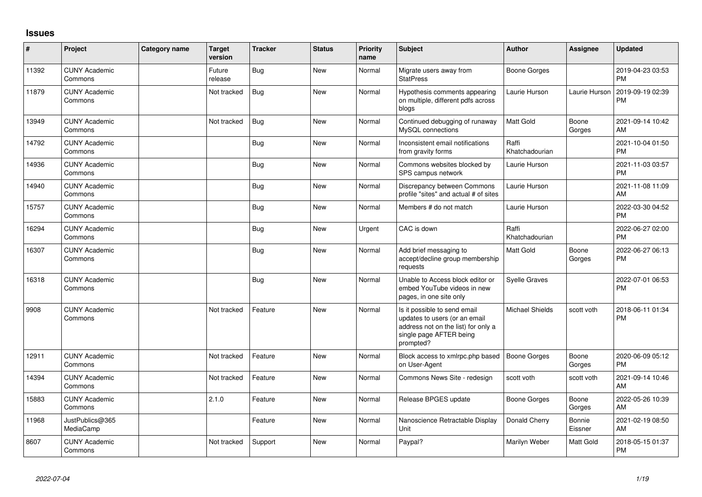## **Issues**

| #     | Project                         | Category name | <b>Target</b><br>version | <b>Tracker</b> | <b>Status</b> | <b>Priority</b><br>name | Subject                                                                                                                                      | <b>Author</b>           | <b>Assignee</b>   | <b>Updated</b>                |
|-------|---------------------------------|---------------|--------------------------|----------------|---------------|-------------------------|----------------------------------------------------------------------------------------------------------------------------------------------|-------------------------|-------------------|-------------------------------|
| 11392 | <b>CUNY Academic</b><br>Commons |               | Future<br>release        | Bug            | New           | Normal                  | Migrate users away from<br><b>StatPress</b>                                                                                                  | Boone Gorges            |                   | 2019-04-23 03:53<br><b>PM</b> |
| 11879 | <b>CUNY Academic</b><br>Commons |               | Not tracked              | Bug            | <b>New</b>    | Normal                  | Hypothesis comments appearing<br>on multiple, different pdfs across<br>blogs                                                                 | Laurie Hurson           | Laurie Hurson     | 2019-09-19 02:39<br><b>PM</b> |
| 13949 | <b>CUNY Academic</b><br>Commons |               | Not tracked              | Bug            | <b>New</b>    | Normal                  | Continued debugging of runaway<br>MySQL connections                                                                                          | <b>Matt Gold</b>        | Boone<br>Gorges   | 2021-09-14 10:42<br>AM        |
| 14792 | <b>CUNY Academic</b><br>Commons |               |                          | <b>Bug</b>     | <b>New</b>    | Normal                  | Inconsistent email notifications<br>from gravity forms                                                                                       | Raffi<br>Khatchadourian |                   | 2021-10-04 01:50<br><b>PM</b> |
| 14936 | <b>CUNY Academic</b><br>Commons |               |                          | Bug            | <b>New</b>    | Normal                  | Commons websites blocked by<br>SPS campus network                                                                                            | Laurie Hurson           |                   | 2021-11-03 03:57<br><b>PM</b> |
| 14940 | <b>CUNY Academic</b><br>Commons |               |                          | <b>Bug</b>     | New           | Normal                  | Discrepancy between Commons<br>profile "sites" and actual # of sites                                                                         | Laurie Hurson           |                   | 2021-11-08 11:09<br>AM        |
| 15757 | <b>CUNY Academic</b><br>Commons |               |                          | Bug            | <b>New</b>    | Normal                  | Members # do not match                                                                                                                       | Laurie Hurson           |                   | 2022-03-30 04:52<br><b>PM</b> |
| 16294 | <b>CUNY Academic</b><br>Commons |               |                          | <b>Bug</b>     | <b>New</b>    | Urgent                  | CAC is down                                                                                                                                  | Raffi<br>Khatchadourian |                   | 2022-06-27 02:00<br><b>PM</b> |
| 16307 | <b>CUNY Academic</b><br>Commons |               |                          | Bug            | <b>New</b>    | Normal                  | Add brief messaging to<br>accept/decline group membership<br>requests                                                                        | Matt Gold               | Boone<br>Gorges   | 2022-06-27 06:13<br><b>PM</b> |
| 16318 | <b>CUNY Academic</b><br>Commons |               |                          | Bug            | <b>New</b>    | Normal                  | Unable to Access block editor or<br>embed YouTube videos in new<br>pages, in one site only                                                   | <b>Syelle Graves</b>    |                   | 2022-07-01 06:53<br><b>PM</b> |
| 9908  | <b>CUNY Academic</b><br>Commons |               | Not tracked              | Feature        | New           | Normal                  | Is it possible to send email<br>updates to users (or an email<br>address not on the list) for only a<br>single page AFTER being<br>prompted? | <b>Michael Shields</b>  | scott voth        | 2018-06-11 01:34<br><b>PM</b> |
| 12911 | <b>CUNY Academic</b><br>Commons |               | Not tracked              | Feature        | <b>New</b>    | Normal                  | Block access to xmlrpc.php based<br>on User-Agent                                                                                            | <b>Boone Gorges</b>     | Boone<br>Gorges   | 2020-06-09 05:12<br><b>PM</b> |
| 14394 | <b>CUNY Academic</b><br>Commons |               | Not tracked              | Feature        | <b>New</b>    | Normal                  | Commons News Site - redesign                                                                                                                 | scott voth              | scott voth        | 2021-09-14 10:46<br>AM        |
| 15883 | <b>CUNY Academic</b><br>Commons |               | 2.1.0                    | Feature        | <b>New</b>    | Normal                  | Release BPGES update                                                                                                                         | Boone Gorges            | Boone<br>Gorges   | 2022-05-26 10:39<br>AM        |
| 11968 | JustPublics@365<br>MediaCamp    |               |                          | Feature        | <b>New</b>    | Normal                  | Nanoscience Retractable Display<br>Unit                                                                                                      | Donald Cherry           | Bonnie<br>Eissner | 2021-02-19 08:50<br>AM        |
| 8607  | <b>CUNY Academic</b><br>Commons |               | Not tracked              | Support        | <b>New</b>    | Normal                  | Paypal?                                                                                                                                      | Marilyn Weber           | Matt Gold         | 2018-05-15 01:37<br><b>PM</b> |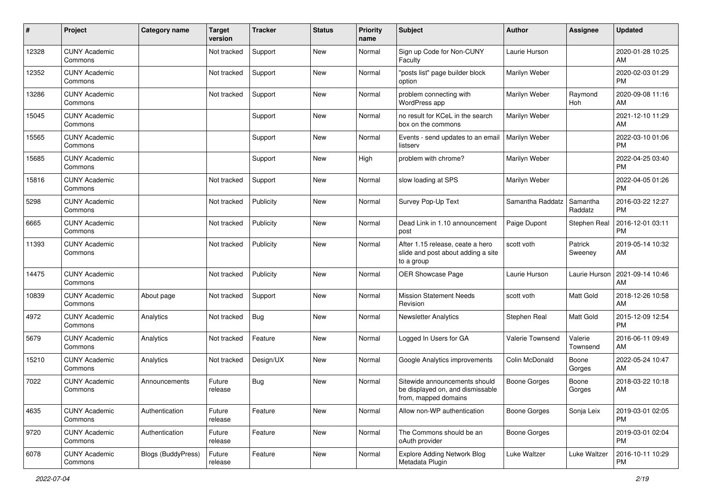| $\#$  | Project                         | <b>Category name</b>      | <b>Target</b><br>version | <b>Tracker</b> | <b>Status</b> | <b>Priority</b><br>name | <b>Subject</b>                                                                            | Author           | Assignee            | <b>Updated</b>                |
|-------|---------------------------------|---------------------------|--------------------------|----------------|---------------|-------------------------|-------------------------------------------------------------------------------------------|------------------|---------------------|-------------------------------|
| 12328 | <b>CUNY Academic</b><br>Commons |                           | Not tracked              | Support        | <b>New</b>    | Normal                  | Sign up Code for Non-CUNY<br>Faculty                                                      | Laurie Hurson    |                     | 2020-01-28 10:25<br>AM        |
| 12352 | <b>CUNY Academic</b><br>Commons |                           | Not tracked              | Support        | New           | Normal                  | "posts list" page builder block<br>option                                                 | Marilyn Weber    |                     | 2020-02-03 01:29<br><b>PM</b> |
| 13286 | <b>CUNY Academic</b><br>Commons |                           | Not tracked              | Support        | New           | Normal                  | problem connecting with<br>WordPress app                                                  | Marilyn Weber    | Raymond<br>Hoh      | 2020-09-08 11:16<br>AM        |
| 15045 | <b>CUNY Academic</b><br>Commons |                           |                          | Support        | New           | Normal                  | no result for KCeL in the search<br>box on the commons                                    | Marilyn Weber    |                     | 2021-12-10 11:29<br>AM        |
| 15565 | <b>CUNY Academic</b><br>Commons |                           |                          | Support        | New           | Normal                  | Events - send updates to an email<br>listserv                                             | Marilyn Weber    |                     | 2022-03-10 01:06<br><b>PM</b> |
| 15685 | <b>CUNY Academic</b><br>Commons |                           |                          | Support        | New           | High                    | problem with chrome?                                                                      | Marilyn Weber    |                     | 2022-04-25 03:40<br><b>PM</b> |
| 15816 | <b>CUNY Academic</b><br>Commons |                           | Not tracked              | Support        | New           | Normal                  | slow loading at SPS                                                                       | Marilyn Weber    |                     | 2022-04-05 01:26<br><b>PM</b> |
| 5298  | <b>CUNY Academic</b><br>Commons |                           | Not tracked              | Publicity      | <b>New</b>    | Normal                  | Survey Pop-Up Text                                                                        | Samantha Raddatz | Samantha<br>Raddatz | 2016-03-22 12:27<br>PM.       |
| 6665  | <b>CUNY Academic</b><br>Commons |                           | Not tracked              | Publicity      | New           | Normal                  | Dead Link in 1.10 announcement<br>post                                                    | Paige Dupont     | Stephen Real        | 2016-12-01 03:11<br><b>PM</b> |
| 11393 | <b>CUNY Academic</b><br>Commons |                           | Not tracked              | Publicity      | <b>New</b>    | Normal                  | After 1.15 release, ceate a hero<br>slide and post about adding a site<br>to a group      | scott voth       | Patrick<br>Sweeney  | 2019-05-14 10:32<br>AM        |
| 14475 | <b>CUNY Academic</b><br>Commons |                           | Not tracked              | Publicity      | New           | Normal                  | OER Showcase Page                                                                         | Laurie Hurson    | Laurie Hurson       | 2021-09-14 10:46<br>AM        |
| 10839 | <b>CUNY Academic</b><br>Commons | About page                | Not tracked              | Support        | New           | Normal                  | <b>Mission Statement Needs</b><br>Revision                                                | scott voth       | Matt Gold           | 2018-12-26 10:58<br>AM        |
| 4972  | <b>CUNY Academic</b><br>Commons | Analytics                 | Not tracked              | Bug            | <b>New</b>    | Normal                  | <b>Newsletter Analytics</b>                                                               | Stephen Real     | Matt Gold           | 2015-12-09 12:54<br><b>PM</b> |
| 5679  | <b>CUNY Academic</b><br>Commons | Analytics                 | Not tracked              | Feature        | New           | Normal                  | Logged In Users for GA                                                                    | Valerie Townsend | Valerie<br>Townsend | 2016-06-11 09:49<br>AM        |
| 15210 | <b>CUNY Academic</b><br>Commons | Analytics                 | Not tracked              | Design/UX      | New           | Normal                  | Google Analytics improvements                                                             | Colin McDonald   | Boone<br>Gorges     | 2022-05-24 10:47<br>AM        |
| 7022  | <b>CUNY Academic</b><br>Commons | Announcements             | Future<br>release        | Bug            | New           | Normal                  | Sitewide announcements should<br>be displayed on, and dismissable<br>from, mapped domains | Boone Gorges     | Boone<br>Gorges     | 2018-03-22 10:18<br>AM        |
| 4635  | <b>CUNY Academic</b><br>Commons | Authentication            | Future<br>release        | Feature        | New           | Normal                  | Allow non-WP authentication                                                               | Boone Gorges     | Sonja Leix          | 2019-03-01 02:05<br><b>PM</b> |
| 9720  | <b>CUNY Academic</b><br>Commons | Authentication            | Future<br>release        | Feature        | New           | Normal                  | The Commons should be an<br>oAuth provider                                                | Boone Gorges     |                     | 2019-03-01 02:04<br><b>PM</b> |
| 6078  | <b>CUNY Academic</b><br>Commons | <b>Blogs (BuddyPress)</b> | Future<br>release        | Feature        | New           | Normal                  | Explore Adding Network Blog<br>Metadata Plugin                                            | Luke Waltzer     | Luke Waltzer        | 2016-10-11 10:29<br>PM        |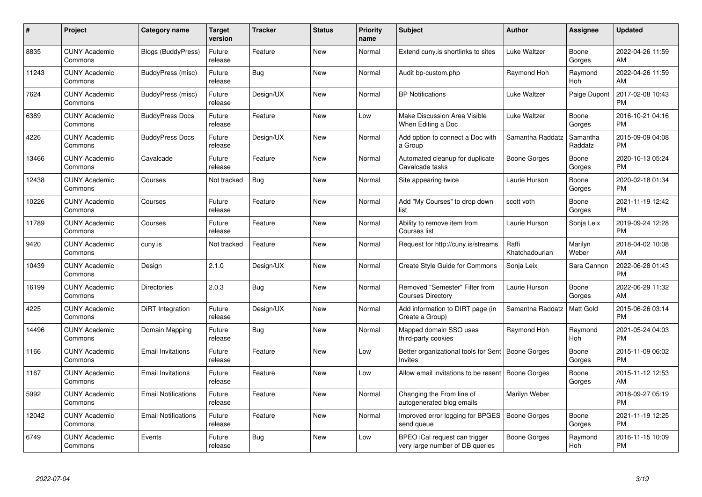| #     | Project                         | <b>Category name</b>       | Target<br>version | <b>Tracker</b> | <b>Status</b> | Priority<br>name | <b>Subject</b>                                                   | <b>Author</b>           | <b>Assignee</b>     | <b>Updated</b>                |
|-------|---------------------------------|----------------------------|-------------------|----------------|---------------|------------------|------------------------------------------------------------------|-------------------------|---------------------|-------------------------------|
| 8835  | <b>CUNY Academic</b><br>Commons | <b>Blogs (BuddyPress)</b>  | Future<br>release | Feature        | <b>New</b>    | Normal           | Extend cuny.is shortlinks to sites                               | Luke Waltzer            | Boone<br>Gorges     | 2022-04-26 11:59<br><b>AM</b> |
| 11243 | <b>CUNY Academic</b><br>Commons | BuddyPress (misc)          | Future<br>release | Bug            | <b>New</b>    | Normal           | Audit bp-custom.php                                              | Raymond Hoh             | Raymond<br>Hoh      | 2022-04-26 11:59<br>AM        |
| 7624  | <b>CUNY Academic</b><br>Commons | BuddyPress (misc)          | Future<br>release | Design/UX      | <b>New</b>    | Normal           | <b>BP Notifications</b>                                          | Luke Waltzer            | Paige Dupont        | 2017-02-08 10:43<br><b>PM</b> |
| 6389  | <b>CUNY Academic</b><br>Commons | <b>BuddyPress Docs</b>     | Future<br>release | Feature        | <b>New</b>    | Low              | Make Discussion Area Visible<br>When Editing a Doc               | Luke Waltzer            | Boone<br>Gorges     | 2016-10-21 04:16<br><b>PM</b> |
| 4226  | <b>CUNY Academic</b><br>Commons | <b>BuddyPress Docs</b>     | Future<br>release | Design/UX      | <b>New</b>    | Normal           | Add option to connect a Doc with<br>a Group                      | Samantha Raddatz        | Samantha<br>Raddatz | 2015-09-09 04:08<br><b>PM</b> |
| 13466 | <b>CUNY Academic</b><br>Commons | Cavalcade                  | Future<br>release | Feature        | <b>New</b>    | Normal           | Automated cleanup for duplicate<br>Cavalcade tasks               | Boone Gorges            | Boone<br>Gorges     | 2020-10-13 05:24<br><b>PM</b> |
| 12438 | <b>CUNY Academic</b><br>Commons | Courses                    | Not tracked       | Bug            | <b>New</b>    | Normal           | Site appearing twice                                             | Laurie Hurson           | Boone<br>Gorges     | 2020-02-18 01:34<br><b>PM</b> |
| 10226 | <b>CUNY Academic</b><br>Commons | Courses                    | Future<br>release | Feature        | <b>New</b>    | Normal           | Add "My Courses" to drop down<br>list                            | scott voth              | Boone<br>Gorges     | 2021-11-19 12:42<br><b>PM</b> |
| 11789 | <b>CUNY Academic</b><br>Commons | Courses                    | Future<br>release | Feature        | New           | Normal           | Ability to remove item from<br>Courses list                      | Laurie Hurson           | Sonja Leix          | 2019-09-24 12:28<br><b>PM</b> |
| 9420  | <b>CUNY Academic</b><br>Commons | cuny.is                    | Not tracked       | Feature        | <b>New</b>    | Normal           | Request for http://cuny.is/streams                               | Raffi<br>Khatchadourian | Marilyn<br>Weber    | 2018-04-02 10:08<br>AM        |
| 10439 | <b>CUNY Academic</b><br>Commons | Design                     | 2.1.0             | Design/UX      | New           | Normal           | Create Style Guide for Commons                                   | Sonja Leix              | Sara Cannon         | 2022-06-28 01:43<br><b>PM</b> |
| 16199 | <b>CUNY Academic</b><br>Commons | <b>Directories</b>         | 2.0.3             | Bug            | New           | Normal           | Removed "Semester" Filter from<br><b>Courses Directory</b>       | Laurie Hurson           | Boone<br>Gorges     | 2022-06-29 11:32<br>AM        |
| 4225  | <b>CUNY Academic</b><br>Commons | <b>DiRT</b> Integration    | Future<br>release | Design/UX      | <b>New</b>    | Normal           | Add information to DIRT page (in<br>Create a Group)              | Samantha Raddatz        | Matt Gold           | 2015-06-26 03:14<br><b>PM</b> |
| 14496 | <b>CUNY Academic</b><br>Commons | Domain Mapping             | Future<br>release | Bug            | New           | Normal           | Mapped domain SSO uses<br>third-party cookies                    | Raymond Hoh             | Raymond<br>Hoh      | 2021-05-24 04:03<br><b>PM</b> |
| 1166  | <b>CUNY Academic</b><br>Commons | <b>Email Invitations</b>   | Future<br>release | Feature        | New           | Low              | Better organizational tools for Sent<br><b>Invites</b>           | Boone Gorges            | Boone<br>Gorges     | 2015-11-09 06:02<br><b>PM</b> |
| 1167  | <b>CUNY Academic</b><br>Commons | <b>Email Invitations</b>   | Future<br>release | Feature        | New           | Low              | Allow email invitations to be resent   Boone Gorges              |                         | Boone<br>Gorges     | 2015-11-12 12:53<br>AM        |
| 5992  | <b>CUNY Academic</b><br>Commons | <b>Email Notifications</b> | Future<br>release | Feature        | New           | Normal           | Changing the From line of<br>autogenerated blog emails           | Marilyn Weber           |                     | 2018-09-27 05:19<br><b>PM</b> |
| 12042 | <b>CUNY Academic</b><br>Commons | <b>Email Notifications</b> | Future<br>release | Feature        | New           | Normal           | Improved error logging for BPGES<br>send queue                   | Boone Gorges            | Boone<br>Gorges     | 2021-11-19 12:25<br><b>PM</b> |
| 6749  | <b>CUNY Academic</b><br>Commons | Events                     | Future<br>release | <b>Bug</b>     | <b>New</b>    | Low              | BPEO iCal request can trigger<br>very large number of DB queries | Boone Gorges            | Raymond<br>Hoh      | 2016-11-15 10:09<br>PM        |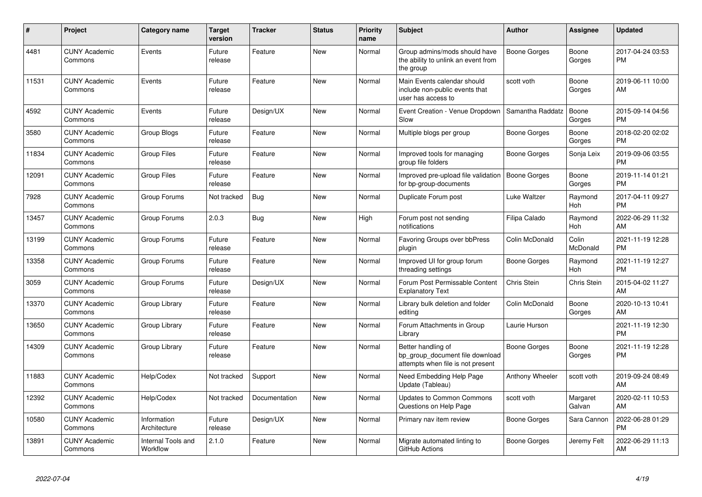| $\#$  | <b>Project</b>                  | Category name                  | <b>Target</b><br>version | <b>Tracker</b> | <b>Status</b> | <b>Priority</b><br>name | <b>Subject</b>                                                                             | Author              | Assignee           | <b>Updated</b>                |
|-------|---------------------------------|--------------------------------|--------------------------|----------------|---------------|-------------------------|--------------------------------------------------------------------------------------------|---------------------|--------------------|-------------------------------|
| 4481  | <b>CUNY Academic</b><br>Commons | Events                         | Future<br>release        | Feature        | <b>New</b>    | Normal                  | Group admins/mods should have<br>the ability to unlink an event from<br>the group          | Boone Gorges        | Boone<br>Gorges    | 2017-04-24 03:53<br><b>PM</b> |
| 11531 | <b>CUNY Academic</b><br>Commons | Events                         | Future<br>release        | Feature        | <b>New</b>    | Normal                  | Main Events calendar should<br>include non-public events that<br>user has access to        | scott voth          | Boone<br>Gorges    | 2019-06-11 10:00<br>AM        |
| 4592  | <b>CUNY Academic</b><br>Commons | Events                         | Future<br>release        | Design/UX      | <b>New</b>    | Normal                  | Event Creation - Venue Dropdown<br>Slow                                                    | Samantha Raddatz    | Boone<br>Gorges    | 2015-09-14 04:56<br><b>PM</b> |
| 3580  | <b>CUNY Academic</b><br>Commons | Group Blogs                    | Future<br>release        | Feature        | <b>New</b>    | Normal                  | Multiple blogs per group                                                                   | <b>Boone Gorges</b> | Boone<br>Gorges    | 2018-02-20 02:02<br><b>PM</b> |
| 11834 | <b>CUNY Academic</b><br>Commons | <b>Group Files</b>             | Future<br>release        | Feature        | <b>New</b>    | Normal                  | Improved tools for managing<br>group file folders                                          | Boone Gorges        | Sonja Leix         | 2019-09-06 03:55<br><b>PM</b> |
| 12091 | <b>CUNY Academic</b><br>Commons | <b>Group Files</b>             | Future<br>release        | Feature        | New           | Normal                  | Improved pre-upload file validation<br>for bp-group-documents                              | <b>Boone Gorges</b> | Boone<br>Gorges    | 2019-11-14 01:21<br><b>PM</b> |
| 7928  | <b>CUNY Academic</b><br>Commons | Group Forums                   | Not tracked              | Bug            | <b>New</b>    | Normal                  | Duplicate Forum post                                                                       | Luke Waltzer        | Raymond<br>Hoh     | 2017-04-11 09:27<br><b>PM</b> |
| 13457 | <b>CUNY Academic</b><br>Commons | Group Forums                   | 2.0.3                    | Bug            | New           | High                    | Forum post not sending<br>notifications                                                    | Filipa Calado       | Raymond<br>Hoh     | 2022-06-29 11:32<br>AM        |
| 13199 | <b>CUNY Academic</b><br>Commons | Group Forums                   | Future<br>release        | Feature        | <b>New</b>    | Normal                  | Favoring Groups over bbPress<br>plugin                                                     | Colin McDonald      | Colin<br>McDonald  | 2021-11-19 12:28<br><b>PM</b> |
| 13358 | <b>CUNY Academic</b><br>Commons | Group Forums                   | Future<br>release        | Feature        | New           | Normal                  | Improved UI for group forum<br>threading settings                                          | Boone Gorges        | Raymond<br>Hoh     | 2021-11-19 12:27<br><b>PM</b> |
| 3059  | <b>CUNY Academic</b><br>Commons | Group Forums                   | Future<br>release        | Design/UX      | <b>New</b>    | Normal                  | Forum Post Permissable Content<br><b>Explanatory Text</b>                                  | Chris Stein         | Chris Stein        | 2015-04-02 11:27<br>AM        |
| 13370 | <b>CUNY Academic</b><br>Commons | Group Library                  | Future<br>release        | Feature        | <b>New</b>    | Normal                  | Library bulk deletion and folder<br>editing                                                | Colin McDonald      | Boone<br>Gorges    | 2020-10-13 10:41<br>AM        |
| 13650 | <b>CUNY Academic</b><br>Commons | Group Library                  | Future<br>release        | Feature        | <b>New</b>    | Normal                  | Forum Attachments in Group<br>Library                                                      | Laurie Hurson       |                    | 2021-11-19 12:30<br><b>PM</b> |
| 14309 | <b>CUNY Academic</b><br>Commons | Group Library                  | Future<br>release        | Feature        | <b>New</b>    | Normal                  | Better handling of<br>bp group document file download<br>attempts when file is not present | Boone Gorges        | Boone<br>Gorges    | 2021-11-19 12:28<br><b>PM</b> |
| 11883 | <b>CUNY Academic</b><br>Commons | Help/Codex                     | Not tracked              | Support        | <b>New</b>    | Normal                  | Need Embedding Help Page<br>Update (Tableau)                                               | Anthony Wheeler     | scott voth         | 2019-09-24 08:49<br>AM        |
| 12392 | <b>CUNY Academic</b><br>Commons | Help/Codex                     | Not tracked              | Documentation  | <b>New</b>    | Normal                  | <b>Updates to Common Commons</b><br>Questions on Help Page                                 | scott voth          | Margaret<br>Galvan | 2020-02-11 10:53<br>AM        |
| 10580 | <b>CUNY Academic</b><br>Commons | Information<br>Architecture    | Future<br>release        | Design/UX      | <b>New</b>    | Normal                  | Primary nav item review                                                                    | <b>Boone Gorges</b> | Sara Cannon        | 2022-06-28 01:29<br><b>PM</b> |
| 13891 | <b>CUNY Academic</b><br>Commons | Internal Tools and<br>Workflow | 2.1.0                    | Feature        | <b>New</b>    | Normal                  | Migrate automated linting to<br>GitHub Actions                                             | Boone Gorges        | Jeremy Felt        | 2022-06-29 11:13<br>AM        |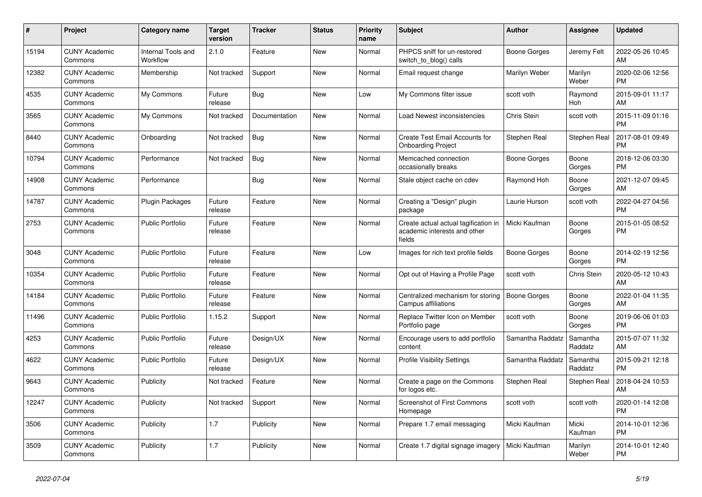| $\#$  | Project                         | <b>Category name</b>                  | <b>Target</b><br>version | <b>Tracker</b> | <b>Status</b> | <b>Priority</b><br>name | <b>Subject</b>                                                                 | <b>Author</b>       | Assignee            | <b>Updated</b>                |
|-------|---------------------------------|---------------------------------------|--------------------------|----------------|---------------|-------------------------|--------------------------------------------------------------------------------|---------------------|---------------------|-------------------------------|
| 15194 | <b>CUNY Academic</b><br>Commons | <b>Internal Tools and</b><br>Workflow | 2.1.0                    | Feature        | <b>New</b>    | Normal                  | PHPCS sniff for un-restored<br>switch_to_blog() calls                          | Boone Gorges        | Jeremy Felt         | 2022-05-26 10:45<br>AM        |
| 12382 | <b>CUNY Academic</b><br>Commons | Membership                            | Not tracked              | Support        | <b>New</b>    | Normal                  | Email request change                                                           | Marilyn Weber       | Marilyn<br>Weber    | 2020-02-06 12:56<br><b>PM</b> |
| 4535  | <b>CUNY Academic</b><br>Commons | My Commons                            | Future<br>release        | Bug            | New           | Low                     | My Commons filter issue                                                        | scott voth          | Raymond<br>Hoh      | 2015-09-01 11:17<br>AM        |
| 3565  | <b>CUNY Academic</b><br>Commons | My Commons                            | Not tracked              | Documentation  | New           | Normal                  | Load Newest inconsistencies                                                    | Chris Stein         | scott voth          | 2015-11-09 01:16<br><b>PM</b> |
| 8440  | <b>CUNY Academic</b><br>Commons | Onboarding                            | Not tracked              | <b>Bug</b>     | <b>New</b>    | Normal                  | Create Test Email Accounts for<br><b>Onboarding Project</b>                    | Stephen Real        | Stephen Real        | 2017-08-01 09:49<br><b>PM</b> |
| 10794 | <b>CUNY Academic</b><br>Commons | Performance                           | Not tracked              | <b>Bug</b>     | New           | Normal                  | Memcached connection<br>occasionally breaks                                    | Boone Gorges        | Boone<br>Gorges     | 2018-12-06 03:30<br><b>PM</b> |
| 14908 | <b>CUNY Academic</b><br>Commons | Performance                           |                          | <b>Bug</b>     | <b>New</b>    | Normal                  | Stale object cache on cdev                                                     | Raymond Hoh         | Boone<br>Gorges     | 2021-12-07 09:45<br>AM        |
| 14787 | <b>CUNY Academic</b><br>Commons | <b>Plugin Packages</b>                | Future<br>release        | Feature        | <b>New</b>    | Normal                  | Creating a "Design" plugin<br>package                                          | Laurie Hurson       | scott voth          | 2022-04-27 04:56<br><b>PM</b> |
| 2753  | <b>CUNY Academic</b><br>Commons | Public Portfolio                      | Future<br>release        | Feature        | <b>New</b>    | Normal                  | Create actual actual tagification in<br>academic interests and other<br>fields | Micki Kaufman       | Boone<br>Gorges     | 2015-01-05 08:52<br><b>PM</b> |
| 3048  | <b>CUNY Academic</b><br>Commons | Public Portfolio                      | Future<br>release        | Feature        | <b>New</b>    | Low                     | Images for rich text profile fields                                            | Boone Gorges        | Boone<br>Gorges     | 2014-02-19 12:56<br><b>PM</b> |
| 10354 | <b>CUNY Academic</b><br>Commons | <b>Public Portfolio</b>               | Future<br>release        | Feature        | New           | Normal                  | Opt out of Having a Profile Page                                               | scott voth          | Chris Stein         | 2020-05-12 10:43<br>AM        |
| 14184 | <b>CUNY Academic</b><br>Commons | <b>Public Portfolio</b>               | Future<br>release        | Feature        | New           | Normal                  | Centralized mechanism for storing<br>Campus affiliations                       | <b>Boone Gorges</b> | Boone<br>Gorges     | 2022-01-04 11:35<br>AM        |
| 11496 | <b>CUNY Academic</b><br>Commons | <b>Public Portfolio</b>               | 1.15.2                   | Support        | <b>New</b>    | Normal                  | Replace Twitter Icon on Member<br>Portfolio page                               | scott voth          | Boone<br>Gorges     | 2019-06-06 01:03<br><b>PM</b> |
| 4253  | <b>CUNY Academic</b><br>Commons | <b>Public Portfolio</b>               | Future<br>release        | Design/UX      | New           | Normal                  | Encourage users to add portfolio<br>content                                    | Samantha Raddatz    | Samantha<br>Raddatz | 2015-07-07 11:32<br>AM        |
| 4622  | <b>CUNY Academic</b><br>Commons | <b>Public Portfolio</b>               | Future<br>release        | Design/UX      | <b>New</b>    | Normal                  | <b>Profile Visibility Settings</b>                                             | Samantha Raddatz    | Samantha<br>Raddatz | 2015-09-21 12:18<br><b>PM</b> |
| 9643  | <b>CUNY Academic</b><br>Commons | Publicity                             | Not tracked              | Feature        | <b>New</b>    | Normal                  | Create a page on the Commons<br>for logos etc.                                 | Stephen Real        | Stephen Real        | 2018-04-24 10:53<br>AM        |
| 12247 | <b>CUNY Academic</b><br>Commons | Publicity                             | Not tracked              | Support        | <b>New</b>    | Normal                  | Screenshot of First Commons<br>Homepage                                        | scott voth          | scott voth          | 2020-01-14 12:08<br><b>PM</b> |
| 3506  | <b>CUNY Academic</b><br>Commons | Publicity                             | 1.7                      | Publicity      | New           | Normal                  | Prepare 1.7 email messaging                                                    | Micki Kaufman       | Micki<br>Kaufman    | 2014-10-01 12:36<br><b>PM</b> |
| 3509  | <b>CUNY Academic</b><br>Commons | Publicity                             | 1.7                      | Publicity      | <b>New</b>    | Normal                  | Create 1.7 digital signage imagery                                             | Micki Kaufman       | Marilyn<br>Weber    | 2014-10-01 12:40<br><b>PM</b> |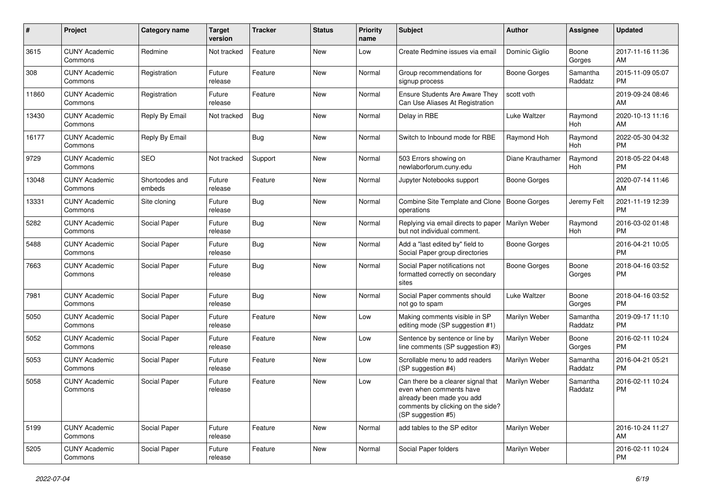| #     | Project                         | <b>Category name</b>     | <b>Target</b><br>version | <b>Tracker</b> | <b>Status</b> | <b>Priority</b><br>name | <b>Subject</b>                                                                                                                                        | <b>Author</b>       | <b>Assignee</b>     | <b>Updated</b>                |
|-------|---------------------------------|--------------------------|--------------------------|----------------|---------------|-------------------------|-------------------------------------------------------------------------------------------------------------------------------------------------------|---------------------|---------------------|-------------------------------|
| 3615  | <b>CUNY Academic</b><br>Commons | Redmine                  | Not tracked              | Feature        | <b>New</b>    | Low                     | Create Redmine issues via email                                                                                                                       | Dominic Giglio      | Boone<br>Gorges     | 2017-11-16 11:36<br>AM.       |
| 308   | <b>CUNY Academic</b><br>Commons | Registration             | Future<br>release        | Feature        | New           | Normal                  | Group recommendations for<br>signup process                                                                                                           | <b>Boone Gorges</b> | Samantha<br>Raddatz | 2015-11-09 05:07<br><b>PM</b> |
| 11860 | <b>CUNY Academic</b><br>Commons | Registration             | Future<br>release        | Feature        | New           | Normal                  | Ensure Students Are Aware They<br>Can Use Aliases At Registration                                                                                     | scott voth          |                     | 2019-09-24 08:46<br>AM        |
| 13430 | <b>CUNY Academic</b><br>Commons | Reply By Email           | Not tracked              | Bug            | New           | Normal                  | Delay in RBE                                                                                                                                          | Luke Waltzer        | Raymond<br>Hoh      | 2020-10-13 11:16<br>AM        |
| 16177 | <b>CUNY Academic</b><br>Commons | Reply By Email           |                          | Bug            | New           | Normal                  | Switch to Inbound mode for RBE                                                                                                                        | Raymond Hoh         | Raymond<br>Hoh      | 2022-05-30 04:32<br><b>PM</b> |
| 9729  | <b>CUNY Academic</b><br>Commons | <b>SEO</b>               | Not tracked              | Support        | New           | Normal                  | 503 Errors showing on<br>newlaborforum.cuny.edu                                                                                                       | Diane Krauthamer    | Raymond<br>Hoh      | 2018-05-22 04:48<br><b>PM</b> |
| 13048 | <b>CUNY Academic</b><br>Commons | Shortcodes and<br>embeds | Future<br>release        | Feature        | New           | Normal                  | Jupyter Notebooks support                                                                                                                             | Boone Gorges        |                     | 2020-07-14 11:46<br>AM.       |
| 13331 | <b>CUNY Academic</b><br>Commons | Site cloning             | Future<br>release        | Bug            | New           | Normal                  | Combine Site Template and Clone<br>operations                                                                                                         | <b>Boone Gorges</b> | Jeremy Felt         | 2021-11-19 12:39<br><b>PM</b> |
| 5282  | <b>CUNY Academic</b><br>Commons | Social Paper             | Future<br>release        | Bug            | New           | Normal                  | Replying via email directs to paper<br>but not individual comment.                                                                                    | Marilyn Weber       | Raymond<br>Hoh      | 2016-03-02 01:48<br><b>PM</b> |
| 5488  | <b>CUNY Academic</b><br>Commons | Social Paper             | Future<br>release        | Bug            | New           | Normal                  | Add a "last edited by" field to<br>Social Paper group directories                                                                                     | Boone Gorges        |                     | 2016-04-21 10:05<br><b>PM</b> |
| 7663  | <b>CUNY Academic</b><br>Commons | Social Paper             | Future<br>release        | Bug            | New           | Normal                  | Social Paper notifications not<br>formatted correctly on secondary<br>sites                                                                           | Boone Gorges        | Boone<br>Gorges     | 2018-04-16 03:52<br>PM        |
| 7981  | <b>CUNY Academic</b><br>Commons | Social Paper             | Future<br>release        | Bug            | New           | Normal                  | Social Paper comments should<br>not go to spam                                                                                                        | Luke Waltzer        | Boone<br>Gorges     | 2018-04-16 03:52<br>PM.       |
| 5050  | <b>CUNY Academic</b><br>Commons | Social Paper             | Future<br>release        | Feature        | New           | Low                     | Making comments visible in SP<br>editing mode (SP suggestion #1)                                                                                      | Marilyn Weber       | Samantha<br>Raddatz | 2019-09-17 11:10<br><b>PM</b> |
| 5052  | <b>CUNY Academic</b><br>Commons | Social Paper             | Future<br>release        | Feature        | New           | Low                     | Sentence by sentence or line by<br>line comments (SP suggestion #3)                                                                                   | Marilyn Weber       | Boone<br>Gorges     | 2016-02-11 10:24<br><b>PM</b> |
| 5053  | <b>CUNY Academic</b><br>Commons | Social Paper             | Future<br>release        | Feature        | New           | Low                     | Scrollable menu to add readers<br>(SP suggestion #4)                                                                                                  | Marilyn Weber       | Samantha<br>Raddatz | 2016-04-21 05:21<br><b>PM</b> |
| 5058  | <b>CUNY Academic</b><br>Commons | Social Paper             | Future<br>release        | Feature        | New           | Low                     | Can there be a clearer signal that<br>even when comments have<br>already been made you add<br>comments by clicking on the side?<br>(SP suggestion #5) | Marilyn Weber       | Samantha<br>Raddatz | 2016-02-11 10:24<br><b>PM</b> |
| 5199  | <b>CUNY Academic</b><br>Commons | Social Paper             | Future<br>release        | Feature        | New           | Normal                  | add tables to the SP editor                                                                                                                           | Marilyn Weber       |                     | 2016-10-24 11:27<br>AM        |
| 5205  | <b>CUNY Academic</b><br>Commons | Social Paper             | Future<br>release        | Feature        | New           | Normal                  | Social Paper folders                                                                                                                                  | Marilyn Weber       |                     | 2016-02-11 10:24<br><b>PM</b> |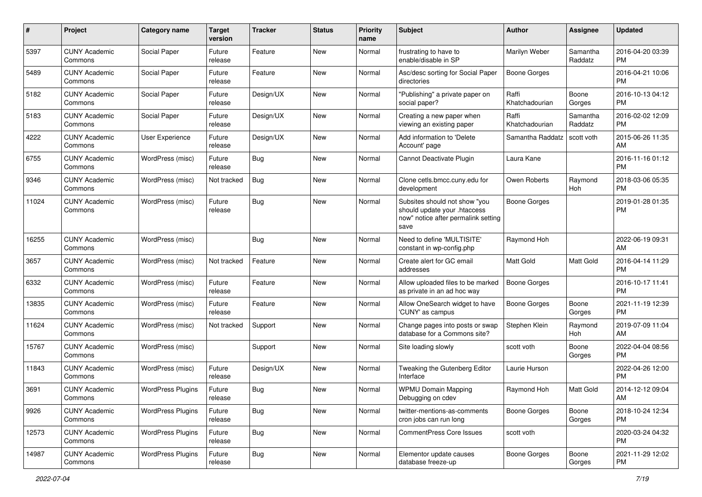| #     | Project                         | Category name            | <b>Target</b><br>version | <b>Tracker</b> | <b>Status</b> | <b>Priority</b><br>name | Subject                                                                                                      | Author                  | Assignee            | <b>Updated</b>                |
|-------|---------------------------------|--------------------------|--------------------------|----------------|---------------|-------------------------|--------------------------------------------------------------------------------------------------------------|-------------------------|---------------------|-------------------------------|
| 5397  | <b>CUNY Academic</b><br>Commons | Social Paper             | Future<br>release        | Feature        | New           | Normal                  | frustrating to have to<br>enable/disable in SP                                                               | Marilyn Weber           | Samantha<br>Raddatz | 2016-04-20 03:39<br><b>PM</b> |
| 5489  | <b>CUNY Academic</b><br>Commons | Social Paper             | Future<br>release        | Feature        | New           | Normal                  | Asc/desc sorting for Social Paper<br>directories                                                             | <b>Boone Gorges</b>     |                     | 2016-04-21 10:06<br><b>PM</b> |
| 5182  | CUNY Academic<br>Commons        | Social Paper             | Future<br>release        | Design/UX      | New           | Normal                  | "Publishing" a private paper on<br>social paper?                                                             | Raffi<br>Khatchadourian | Boone<br>Gorges     | 2016-10-13 04:12<br><b>PM</b> |
| 5183  | <b>CUNY Academic</b><br>Commons | Social Paper             | Future<br>release        | Design/UX      | New           | Normal                  | Creating a new paper when<br>viewing an existing paper                                                       | Raffi<br>Khatchadourian | Samantha<br>Raddatz | 2016-02-02 12:09<br><b>PM</b> |
| 4222  | <b>CUNY Academic</b><br>Commons | User Experience          | Future<br>release        | Design/UX      | New           | Normal                  | Add information to 'Delete<br>Account' page                                                                  | Samantha Raddatz        | scott voth          | 2015-06-26 11:35<br>AM        |
| 6755  | <b>CUNY Academic</b><br>Commons | WordPress (misc)         | Future<br>release        | Bug            | New           | Normal                  | Cannot Deactivate Plugin                                                                                     | Laura Kane              |                     | 2016-11-16 01:12<br><b>PM</b> |
| 9346  | <b>CUNY Academic</b><br>Commons | WordPress (misc)         | Not tracked              | Bug            | New           | Normal                  | Clone cetls.bmcc.cuny.edu for<br>development                                                                 | Owen Roberts            | Raymond<br>Hoh      | 2018-03-06 05:35<br><b>PM</b> |
| 11024 | <b>CUNY Academic</b><br>Commons | WordPress (misc)         | Future<br>release        | Bug            | New           | Normal                  | Subsites should not show "you<br>should update your .htaccess<br>now" notice after permalink setting<br>save | <b>Boone Gorges</b>     |                     | 2019-01-28 01:35<br>PM        |
| 16255 | <b>CUNY Academic</b><br>Commons | WordPress (misc)         |                          | <b>Bug</b>     | <b>New</b>    | Normal                  | Need to define 'MULTISITE'<br>constant in wp-config.php                                                      | Raymond Hoh             |                     | 2022-06-19 09:31<br>AM        |
| 3657  | <b>CUNY Academic</b><br>Commons | WordPress (misc)         | Not tracked              | Feature        | <b>New</b>    | Normal                  | Create alert for GC email<br>addresses                                                                       | <b>Matt Gold</b>        | Matt Gold           | 2016-04-14 11:29<br><b>PM</b> |
| 6332  | <b>CUNY Academic</b><br>Commons | WordPress (misc)         | Future<br>release        | Feature        | New           | Normal                  | Allow uploaded files to be marked<br>as private in an ad hoc way                                             | <b>Boone Gorges</b>     |                     | 2016-10-17 11:41<br><b>PM</b> |
| 13835 | CUNY Academic<br>Commons        | WordPress (misc)         | Future<br>release        | Feature        | New           | Normal                  | Allow OneSearch widget to have<br>'CUNY' as campus                                                           | Boone Gorges            | Boone<br>Gorges     | 2021-11-19 12:39<br><b>PM</b> |
| 11624 | <b>CUNY Academic</b><br>Commons | WordPress (misc)         | Not tracked              | Support        | New           | Normal                  | Change pages into posts or swap<br>database for a Commons site?                                              | Stephen Klein           | Raymond<br>Hoh      | 2019-07-09 11:04<br>AM        |
| 15767 | <b>CUNY Academic</b><br>Commons | WordPress (misc)         |                          | Support        | New           | Normal                  | Site loading slowly                                                                                          | scott voth              | Boone<br>Gorges     | 2022-04-04 08:56<br><b>PM</b> |
| 11843 | <b>CUNY Academic</b><br>Commons | WordPress (misc)         | Future<br>release        | Design/UX      | New           | Normal                  | Tweaking the Gutenberg Editor<br>Interface                                                                   | Laurie Hurson           |                     | 2022-04-26 12:00<br><b>PM</b> |
| 3691  | <b>CUNY Academic</b><br>Commons | <b>WordPress Plugins</b> | Future<br>release        | Bug            | New           | Normal                  | <b>WPMU Domain Mapping</b><br>Debugging on cdev                                                              | Raymond Hoh             | <b>Matt Gold</b>    | 2014-12-12 09:04<br>AM        |
| 9926  | <b>CUNY Academic</b><br>Commons | <b>WordPress Plugins</b> | Future<br>release        | <b>Bug</b>     | New           | Normal                  | twitter-mentions-as-comments<br>cron jobs can run long                                                       | Boone Gorges            | Boone<br>Gorges     | 2018-10-24 12:34<br><b>PM</b> |
| 12573 | <b>CUNY Academic</b><br>Commons | <b>WordPress Plugins</b> | Future<br>release        | Bug            | New           | Normal                  | <b>CommentPress Core Issues</b>                                                                              | scott voth              |                     | 2020-03-24 04:32<br>PM        |
| 14987 | <b>CUNY Academic</b><br>Commons | <b>WordPress Plugins</b> | Future<br>release        | Bug            | New           | Normal                  | Elementor update causes<br>database freeze-up                                                                | <b>Boone Gorges</b>     | Boone<br>Gorges     | 2021-11-29 12:02<br>PM        |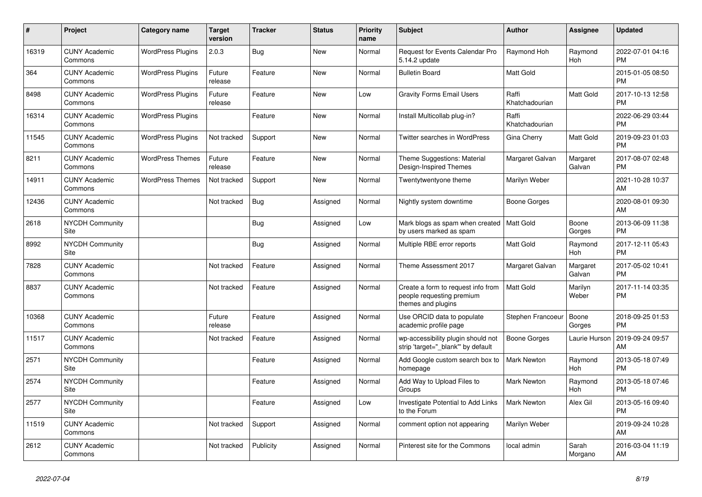| $\pmb{\#}$ | Project                         | <b>Category name</b>     | <b>Target</b><br>version | <b>Tracker</b> | <b>Status</b> | <b>Priority</b><br>name | <b>Subject</b>                                                                        | <b>Author</b>           | Assignee           | <b>Updated</b>                |
|------------|---------------------------------|--------------------------|--------------------------|----------------|---------------|-------------------------|---------------------------------------------------------------------------------------|-------------------------|--------------------|-------------------------------|
| 16319      | <b>CUNY Academic</b><br>Commons | <b>WordPress Plugins</b> | 2.0.3                    | Bug            | <b>New</b>    | Normal                  | Request for Events Calendar Pro<br>5.14.2 update                                      | Raymond Hoh             | Raymond<br>Hoh     | 2022-07-01 04:16<br><b>PM</b> |
| 364        | <b>CUNY Academic</b><br>Commons | <b>WordPress Plugins</b> | Future<br>release        | Feature        | New           | Normal                  | <b>Bulletin Board</b>                                                                 | Matt Gold               |                    | 2015-01-05 08:50<br><b>PM</b> |
| 8498       | <b>CUNY Academic</b><br>Commons | <b>WordPress Plugins</b> | Future<br>release        | Feature        | New           | Low                     | <b>Gravity Forms Email Users</b>                                                      | Raffi<br>Khatchadourian | Matt Gold          | 2017-10-13 12:58<br><b>PM</b> |
| 16314      | <b>CUNY Academic</b><br>Commons | <b>WordPress Plugins</b> |                          | Feature        | <b>New</b>    | Normal                  | Install Multicollab plug-in?                                                          | Raffi<br>Khatchadourian |                    | 2022-06-29 03:44<br><b>PM</b> |
| 11545      | <b>CUNY Academic</b><br>Commons | <b>WordPress Plugins</b> | Not tracked              | Support        | New           | Normal                  | Twitter searches in WordPress                                                         | Gina Cherry             | Matt Gold          | 2019-09-23 01:03<br><b>PM</b> |
| 8211       | <b>CUNY Academic</b><br>Commons | <b>WordPress Themes</b>  | Future<br>release        | Feature        | New           | Normal                  | Theme Suggestions: Material<br>Design-Inspired Themes                                 | Margaret Galvan         | Margaret<br>Galvan | 2017-08-07 02:48<br><b>PM</b> |
| 14911      | <b>CUNY Academic</b><br>Commons | <b>WordPress Themes</b>  | Not tracked              | Support        | New           | Normal                  | Twentytwentyone theme                                                                 | Marilyn Weber           |                    | 2021-10-28 10:37<br>AM        |
| 12436      | <b>CUNY Academic</b><br>Commons |                          | Not tracked              | Bug            | Assigned      | Normal                  | Nightly system downtime                                                               | Boone Gorges            |                    | 2020-08-01 09:30<br>AM        |
| 2618       | <b>NYCDH Community</b><br>Site  |                          |                          | <b>Bug</b>     | Assigned      | Low                     | Mark blogs as spam when created<br>by users marked as spam                            | Matt Gold               | Boone<br>Gorges    | 2013-06-09 11:38<br><b>PM</b> |
| 8992       | NYCDH Community<br>Site         |                          |                          | Bug            | Assigned      | Normal                  | Multiple RBE error reports                                                            | <b>Matt Gold</b>        | Raymond<br>Hoh     | 2017-12-11 05:43<br><b>PM</b> |
| 7828       | <b>CUNY Academic</b><br>Commons |                          | Not tracked              | Feature        | Assigned      | Normal                  | Theme Assessment 2017                                                                 | Margaret Galvan         | Margaret<br>Galvan | 2017-05-02 10:41<br><b>PM</b> |
| 8837       | <b>CUNY Academic</b><br>Commons |                          | Not tracked              | Feature        | Assigned      | Normal                  | Create a form to request info from<br>people requesting premium<br>themes and plugins | Matt Gold               | Marilyn<br>Weber   | 2017-11-14 03:35<br><b>PM</b> |
| 10368      | <b>CUNY Academic</b><br>Commons |                          | Future<br>release        | Feature        | Assigned      | Normal                  | Use ORCID data to populate<br>academic profile page                                   | Stephen Francoeur       | Boone<br>Gorges    | 2018-09-25 01:53<br><b>PM</b> |
| 11517      | <b>CUNY Academic</b><br>Commons |                          | Not tracked              | Feature        | Assigned      | Normal                  | wp-accessibility plugin should not<br>strip 'target=" blank" by default               | Boone Gorges            | Laurie Hurson      | 2019-09-24 09:57<br>AM        |
| 2571       | <b>NYCDH Community</b><br>Site  |                          |                          | Feature        | Assigned      | Normal                  | Add Google custom search box to<br>homepage                                           | <b>Mark Newton</b>      | Raymond<br>Hoh     | 2013-05-18 07:49<br><b>PM</b> |
| 2574       | NYCDH Community<br>Site         |                          |                          | Feature        | Assigned      | Normal                  | Add Way to Upload Files to<br>Groups                                                  | Mark Newton             | Raymond<br>Hoh     | 2013-05-18 07:46<br><b>PM</b> |
| 2577       | <b>NYCDH Community</b><br>Site  |                          |                          | Feature        | Assigned      | Low                     | Investigate Potential to Add Links<br>to the Forum                                    | <b>Mark Newton</b>      | Alex Gil           | 2013-05-16 09:40<br><b>PM</b> |
| 11519      | <b>CUNY Academic</b><br>Commons |                          | Not tracked              | Support        | Assigned      | Normal                  | comment option not appearing                                                          | Marilyn Weber           |                    | 2019-09-24 10:28<br>AM        |
| 2612       | <b>CUNY Academic</b><br>Commons |                          | Not tracked              | Publicity      | Assigned      | Normal                  | Pinterest site for the Commons                                                        | local admin             | Sarah<br>Morgano   | 2016-03-04 11:19<br>AM        |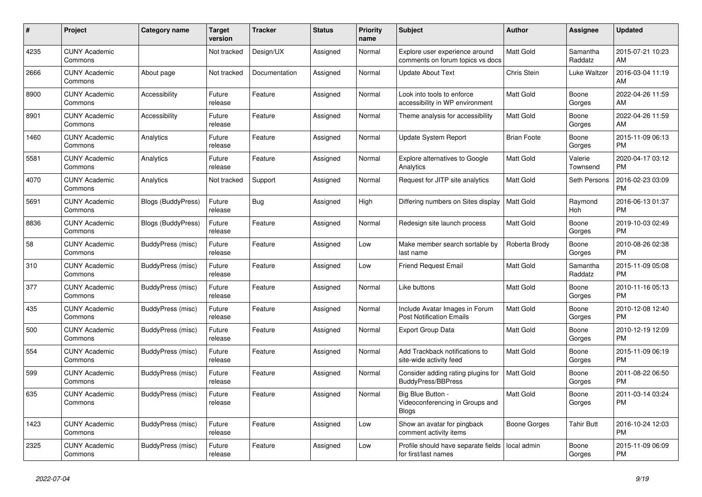| #    | Project                         | <b>Category name</b>      | <b>Target</b><br>version | <b>Tracker</b> | <b>Status</b> | <b>Priority</b><br>name | <b>Subject</b>                                                       | <b>Author</b>      | Assignee            | <b>Updated</b>                |
|------|---------------------------------|---------------------------|--------------------------|----------------|---------------|-------------------------|----------------------------------------------------------------------|--------------------|---------------------|-------------------------------|
| 4235 | <b>CUNY Academic</b><br>Commons |                           | Not tracked              | Design/UX      | Assigned      | Normal                  | Explore user experience around<br>comments on forum topics vs docs   | <b>Matt Gold</b>   | Samantha<br>Raddatz | 2015-07-21 10:23<br>AM        |
| 2666 | <b>CUNY Academic</b><br>Commons | About page                | Not tracked              | Documentation  | Assigned      | Normal                  | <b>Update About Text</b>                                             | Chris Stein        | Luke Waltzer        | 2016-03-04 11:19<br>AM        |
| 8900 | <b>CUNY Academic</b><br>Commons | Accessibility             | Future<br>release        | Feature        | Assigned      | Normal                  | Look into tools to enforce<br>accessibility in WP environment        | Matt Gold          | Boone<br>Gorges     | 2022-04-26 11:59<br>AM        |
| 8901 | <b>CUNY Academic</b><br>Commons | Accessibility             | Future<br>release        | Feature        | Assigned      | Normal                  | Theme analysis for accessibility                                     | Matt Gold          | Boone<br>Gorges     | 2022-04-26 11:59<br>AM        |
| 1460 | <b>CUNY Academic</b><br>Commons | Analytics                 | Future<br>release        | Feature        | Assigned      | Normal                  | Update System Report                                                 | <b>Brian Foote</b> | Boone<br>Gorges     | 2015-11-09 06:13<br><b>PM</b> |
| 5581 | <b>CUNY Academic</b><br>Commons | Analytics                 | Future<br>release        | Feature        | Assigned      | Normal                  | <b>Explore alternatives to Google</b><br>Analytics                   | Matt Gold          | Valerie<br>Townsend | 2020-04-17 03:12<br><b>PM</b> |
| 4070 | <b>CUNY Academic</b><br>Commons | Analytics                 | Not tracked              | Support        | Assigned      | Normal                  | Request for JITP site analytics                                      | <b>Matt Gold</b>   | Seth Persons        | 2016-02-23 03:09<br><b>PM</b> |
| 5691 | <b>CUNY Academic</b><br>Commons | Blogs (BuddyPress)        | Future<br>release        | Bug            | Assigned      | High                    | Differing numbers on Sites display                                   | <b>Matt Gold</b>   | Raymond<br>Hoh      | 2016-06-13 01:37<br><b>PM</b> |
| 8836 | <b>CUNY Academic</b><br>Commons | <b>Blogs (BuddyPress)</b> | Future<br>release        | Feature        | Assigned      | Normal                  | Redesign site launch process                                         | Matt Gold          | Boone<br>Gorges     | 2019-10-03 02:49<br><b>PM</b> |
| 58   | <b>CUNY Academic</b><br>Commons | BuddyPress (misc)         | Future<br>release        | Feature        | Assigned      | Low                     | Make member search sortable by<br>last name                          | Roberta Brody      | Boone<br>Gorges     | 2010-08-26 02:38<br><b>PM</b> |
| 310  | <b>CUNY Academic</b><br>Commons | BuddyPress (misc)         | Future<br>release        | Feature        | Assigned      | Low                     | <b>Friend Request Email</b>                                          | <b>Matt Gold</b>   | Samantha<br>Raddatz | 2015-11-09 05:08<br><b>PM</b> |
| 377  | <b>CUNY Academic</b><br>Commons | <b>BuddyPress (misc)</b>  | Future<br>release        | Feature        | Assigned      | Normal                  | Like buttons                                                         | Matt Gold          | Boone<br>Gorges     | 2010-11-16 05:13<br><b>PM</b> |
| 435  | <b>CUNY Academic</b><br>Commons | BuddyPress (misc)         | Future<br>release        | Feature        | Assigned      | Normal                  | Include Avatar Images in Forum<br><b>Post Notification Emails</b>    | <b>Matt Gold</b>   | Boone<br>Gorges     | 2010-12-08 12:40<br><b>PM</b> |
| 500  | <b>CUNY Academic</b><br>Commons | BuddyPress (misc)         | Future<br>release        | Feature        | Assigned      | Normal                  | <b>Export Group Data</b>                                             | <b>Matt Gold</b>   | Boone<br>Gorges     | 2010-12-19 12:09<br><b>PM</b> |
| 554  | <b>CUNY Academic</b><br>Commons | BuddyPress (misc)         | Future<br>release        | Feature        | Assigned      | Normal                  | Add Trackback notifications to<br>site-wide activity feed            | Matt Gold          | Boone<br>Gorges     | 2015-11-09 06:19<br><b>PM</b> |
| 599  | <b>CUNY Academic</b><br>Commons | BuddyPress (misc)         | Future<br>release        | Feature        | Assigned      | Normal                  | Consider adding rating plugins for<br><b>BuddyPress/BBPress</b>      | <b>Matt Gold</b>   | Boone<br>Gorges     | 2011-08-22 06:50<br><b>PM</b> |
| 635  | <b>CUNY Academic</b><br>Commons | BuddyPress (misc)         | Future<br>release        | Feature        | Assigned      | Normal                  | Big Blue Button -<br>Videoconferencing in Groups and<br><b>Blogs</b> | <b>Matt Gold</b>   | Boone<br>Gorges     | 2011-03-14 03:24<br><b>PM</b> |
| 1423 | <b>CUNY Academic</b><br>Commons | BuddyPress (misc)         | Future<br>release        | Feature        | Assigned      | Low                     | Show an avatar for pingback<br>comment activity items                | Boone Gorges       | Tahir Butt          | 2016-10-24 12:03<br><b>PM</b> |
| 2325 | <b>CUNY Academic</b><br>Commons | BuddyPress (misc)         | Future<br>release        | Feature        | Assigned      | Low                     | Profile should have separate fields<br>for first/last names          | local admin        | Boone<br>Gorges     | 2015-11-09 06:09<br><b>PM</b> |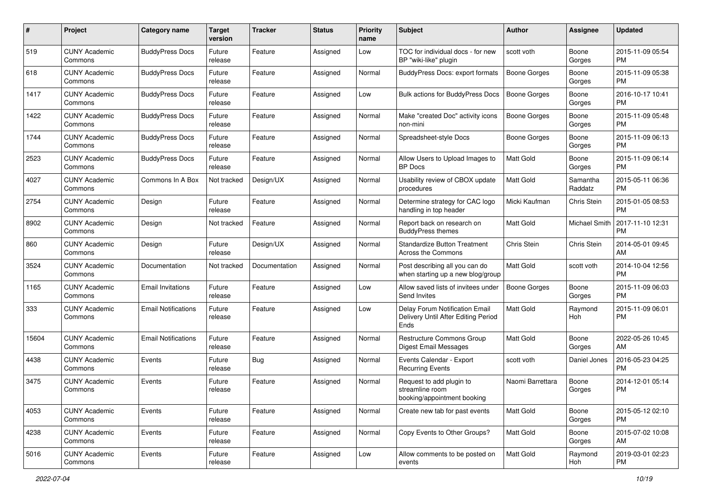| #     | Project                         | <b>Category name</b>       | <b>Target</b><br>version | <b>Tracker</b> | <b>Status</b> | Priority<br>name | <b>Subject</b>                                                                | Author              | <b>Assignee</b>     | <b>Updated</b>                |
|-------|---------------------------------|----------------------------|--------------------------|----------------|---------------|------------------|-------------------------------------------------------------------------------|---------------------|---------------------|-------------------------------|
| 519   | <b>CUNY Academic</b><br>Commons | <b>BuddyPress Docs</b>     | Future<br>release        | Feature        | Assigned      | Low              | TOC for individual docs - for new<br>BP "wiki-like" plugin                    | scott voth          | Boone<br>Gorges     | 2015-11-09 05:54<br>PM.       |
| 618   | <b>CUNY Academic</b><br>Commons | <b>BuddyPress Docs</b>     | Future<br>release        | Feature        | Assigned      | Normal           | <b>BuddyPress Docs: export formats</b>                                        | <b>Boone Gorges</b> | Boone<br>Gorges     | 2015-11-09 05:38<br><b>PM</b> |
| 1417  | <b>CUNY Academic</b><br>Commons | <b>BuddyPress Docs</b>     | Future<br>release        | Feature        | Assigned      | Low              | Bulk actions for BuddyPress Docs                                              | Boone Gorges        | Boone<br>Gorges     | 2016-10-17 10:41<br><b>PM</b> |
| 1422  | <b>CUNY Academic</b><br>Commons | <b>BuddyPress Docs</b>     | Future<br>release        | Feature        | Assigned      | Normal           | Make "created Doc" activity icons<br>non-mini                                 | <b>Boone Gorges</b> | Boone<br>Gorges     | 2015-11-09 05:48<br>PM.       |
| 1744  | <b>CUNY Academic</b><br>Commons | <b>BuddyPress Docs</b>     | Future<br>release        | Feature        | Assigned      | Normal           | Spreadsheet-style Docs                                                        | Boone Gorges        | Boone<br>Gorges     | 2015-11-09 06:13<br><b>PM</b> |
| 2523  | <b>CUNY Academic</b><br>Commons | <b>BuddyPress Docs</b>     | Future<br>release        | Feature        | Assigned      | Normal           | Allow Users to Upload Images to<br><b>BP</b> Docs                             | <b>Matt Gold</b>    | Boone<br>Gorges     | 2015-11-09 06:14<br><b>PM</b> |
| 4027  | <b>CUNY Academic</b><br>Commons | Commons In A Box           | Not tracked              | Design/UX      | Assigned      | Normal           | Usability review of CBOX update<br>procedures                                 | Matt Gold           | Samantha<br>Raddatz | 2015-05-11 06:36<br><b>PM</b> |
| 2754  | <b>CUNY Academic</b><br>Commons | Design                     | Future<br>release        | Feature        | Assigned      | Normal           | Determine strategy for CAC logo<br>handling in top header                     | Micki Kaufman       | Chris Stein         | 2015-01-05 08:53<br>PM.       |
| 8902  | <b>CUNY Academic</b><br>Commons | Design                     | Not tracked              | Feature        | Assigned      | Normal           | Report back on research on<br><b>BuddyPress themes</b>                        | <b>Matt Gold</b>    | Michael Smith       | 2017-11-10 12:31<br><b>PM</b> |
| 860   | <b>CUNY Academic</b><br>Commons | Design                     | Future<br>release        | Design/UX      | Assigned      | Normal           | <b>Standardize Button Treatment</b><br><b>Across the Commons</b>              | Chris Stein         | Chris Stein         | 2014-05-01 09:45<br>AM        |
| 3524  | <b>CUNY Academic</b><br>Commons | Documentation              | Not tracked              | Documentation  | Assigned      | Normal           | Post describing all you can do<br>when starting up a new blog/group           | Matt Gold           | scott voth          | 2014-10-04 12:56<br><b>PM</b> |
| 1165  | <b>CUNY Academic</b><br>Commons | <b>Email Invitations</b>   | Future<br>release        | Feature        | Assigned      | Low              | Allow saved lists of invitees under<br>Send Invites                           | Boone Gorges        | Boone<br>Gorges     | 2015-11-09 06:03<br><b>PM</b> |
| 333   | <b>CUNY Academic</b><br>Commons | <b>Email Notifications</b> | Future<br>release        | Feature        | Assigned      | Low              | Delay Forum Notification Email<br>Delivery Until After Editing Period<br>Ends | Matt Gold           | Raymond<br>Hoh      | 2015-11-09 06:01<br><b>PM</b> |
| 15604 | <b>CUNY Academic</b><br>Commons | <b>Email Notifications</b> | Future<br>release        | Feature        | Assigned      | Normal           | Restructure Commons Group<br>Digest Email Messages                            | Matt Gold           | Boone<br>Gorges     | 2022-05-26 10:45<br>AM        |
| 4438  | <b>CUNY Academic</b><br>Commons | Events                     | Future<br>release        | Bug            | Assigned      | Normal           | Events Calendar - Export<br><b>Recurring Events</b>                           | scott voth          | Daniel Jones        | 2016-05-23 04:25<br><b>PM</b> |
| 3475  | <b>CUNY Academic</b><br>Commons | Events                     | Future<br>release        | Feature        | Assigned      | Normal           | Request to add plugin to<br>streamline room<br>booking/appointment booking    | Naomi Barrettara    | Boone<br>Gorges     | 2014-12-01 05:14<br><b>PM</b> |
| 4053  | <b>CUNY Academic</b><br>Commons | Events                     | Future<br>release        | Feature        | Assigned      | Normal           | Create new tab for past events                                                | Matt Gold           | Boone<br>Gorges     | 2015-05-12 02:10<br>PM        |
| 4238  | <b>CUNY Academic</b><br>Commons | Events                     | Future<br>release        | Feature        | Assigned      | Normal           | Copy Events to Other Groups?                                                  | Matt Gold           | Boone<br>Gorges     | 2015-07-02 10:08<br>AM        |
| 5016  | <b>CUNY Academic</b><br>Commons | Events                     | Future<br>release        | Feature        | Assigned      | Low              | Allow comments to be posted on<br>events                                      | Matt Gold           | Raymond<br>Hoh      | 2019-03-01 02:23<br><b>PM</b> |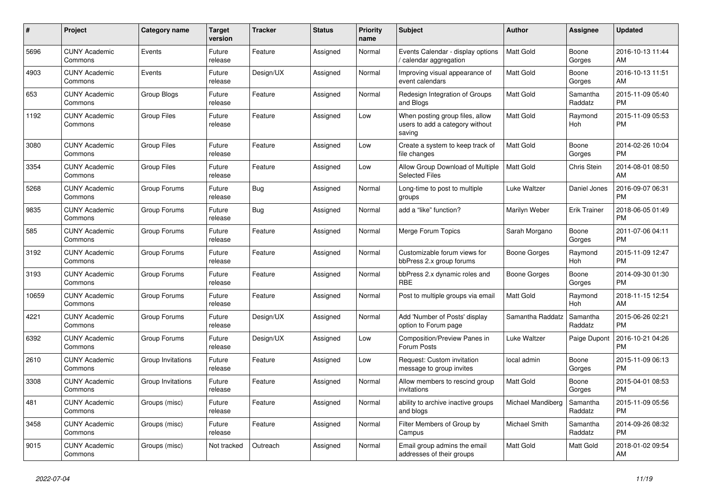| $\#$  | <b>Project</b>                  | <b>Category name</b> | <b>Target</b><br>version | <b>Tracker</b> | <b>Status</b> | <b>Priority</b><br>name | <b>Subject</b>                                                               | <b>Author</b>     | Assignee            | <b>Updated</b>                |
|-------|---------------------------------|----------------------|--------------------------|----------------|---------------|-------------------------|------------------------------------------------------------------------------|-------------------|---------------------|-------------------------------|
| 5696  | <b>CUNY Academic</b><br>Commons | Events               | Future<br>release        | Feature        | Assigned      | Normal                  | Events Calendar - display options<br>calendar aggregation                    | <b>Matt Gold</b>  | Boone<br>Gorges     | 2016-10-13 11:44<br>AM        |
| 4903  | <b>CUNY Academic</b><br>Commons | Events               | Future<br>release        | Design/UX      | Assigned      | Normal                  | Improving visual appearance of<br>event calendars                            | Matt Gold         | Boone<br>Gorges     | 2016-10-13 11:51<br>AM        |
| 653   | <b>CUNY Academic</b><br>Commons | Group Blogs          | Future<br>release        | Feature        | Assigned      | Normal                  | Redesign Integration of Groups<br>and Blogs                                  | <b>Matt Gold</b>  | Samantha<br>Raddatz | 2015-11-09 05:40<br><b>PM</b> |
| 1192  | <b>CUNY Academic</b><br>Commons | <b>Group Files</b>   | Future<br>release        | Feature        | Assigned      | Low                     | When posting group files, allow<br>users to add a category without<br>saving | <b>Matt Gold</b>  | Raymond<br>Hoh      | 2015-11-09 05:53<br><b>PM</b> |
| 3080  | <b>CUNY Academic</b><br>Commons | <b>Group Files</b>   | Future<br>release        | Feature        | Assigned      | Low                     | Create a system to keep track of<br>file changes                             | Matt Gold         | Boone<br>Gorges     | 2014-02-26 10:04<br><b>PM</b> |
| 3354  | <b>CUNY Academic</b><br>Commons | <b>Group Files</b>   | Future<br>release        | Feature        | Assigned      | Low                     | Allow Group Download of Multiple<br><b>Selected Files</b>                    | <b>Matt Gold</b>  | Chris Stein         | 2014-08-01 08:50<br>AM        |
| 5268  | <b>CUNY Academic</b><br>Commons | Group Forums         | Future<br>release        | Bug            | Assigned      | Normal                  | Long-time to post to multiple<br>groups                                      | Luke Waltzer      | Daniel Jones        | 2016-09-07 06:31<br><b>PM</b> |
| 9835  | <b>CUNY Academic</b><br>Commons | Group Forums         | Future<br>release        | <b>Bug</b>     | Assigned      | Normal                  | add a "like" function?                                                       | Marilyn Weber     | Erik Trainer        | 2018-06-05 01:49<br><b>PM</b> |
| 585   | <b>CUNY Academic</b><br>Commons | Group Forums         | Future<br>release        | Feature        | Assigned      | Normal                  | Merge Forum Topics                                                           | Sarah Morgano     | Boone<br>Gorges     | 2011-07-06 04:11<br><b>PM</b> |
| 3192  | <b>CUNY Academic</b><br>Commons | Group Forums         | Future<br>release        | Feature        | Assigned      | Normal                  | Customizable forum views for<br>bbPress 2.x group forums                     | Boone Gorges      | Raymond<br>Hoh      | 2015-11-09 12:47<br><b>PM</b> |
| 3193  | <b>CUNY Academic</b><br>Commons | Group Forums         | Future<br>release        | Feature        | Assigned      | Normal                  | bbPress 2.x dynamic roles and<br><b>RBE</b>                                  | Boone Gorges      | Boone<br>Gorges     | 2014-09-30 01:30<br><b>PM</b> |
| 10659 | <b>CUNY Academic</b><br>Commons | Group Forums         | Future<br>release        | Feature        | Assigned      | Normal                  | Post to multiple groups via email                                            | <b>Matt Gold</b>  | Raymond<br>Hoh      | 2018-11-15 12:54<br>AM        |
| 4221  | <b>CUNY Academic</b><br>Commons | Group Forums         | Future<br>release        | Design/UX      | Assigned      | Normal                  | Add 'Number of Posts' display<br>option to Forum page                        | Samantha Raddatz  | Samantha<br>Raddatz | 2015-06-26 02:21<br><b>PM</b> |
| 6392  | <b>CUNY Academic</b><br>Commons | Group Forums         | Future<br>release        | Design/UX      | Assigned      | Low                     | Composition/Preview Panes in<br>Forum Posts                                  | Luke Waltzer      | Paige Dupont        | 2016-10-21 04:26<br><b>PM</b> |
| 2610  | <b>CUNY Academic</b><br>Commons | Group Invitations    | Future<br>release        | Feature        | Assigned      | Low                     | Request: Custom invitation<br>message to group invites                       | local admin       | Boone<br>Gorges     | 2015-11-09 06:13<br><b>PM</b> |
| 3308  | <b>CUNY Academic</b><br>Commons | Group Invitations    | Future<br>release        | Feature        | Assigned      | Normal                  | Allow members to rescind group<br>invitations                                | Matt Gold         | Boone<br>Gorges     | 2015-04-01 08:53<br><b>PM</b> |
| 481   | <b>CUNY Academic</b><br>Commons | Groups (misc)        | Future<br>release        | Feature        | Assigned      | Normal                  | ability to archive inactive groups<br>and blogs                              | Michael Mandiberg | Samantha<br>Raddatz | 2015-11-09 05:56<br><b>PM</b> |
| 3458  | <b>CUNY Academic</b><br>Commons | Groups (misc)        | Future<br>release        | Feature        | Assigned      | Normal                  | Filter Members of Group by<br>Campus                                         | Michael Smith     | Samantha<br>Raddatz | 2014-09-26 08:32<br><b>PM</b> |
| 9015  | <b>CUNY Academic</b><br>Commons | Groups (misc)        | Not tracked              | Outreach       | Assigned      | Normal                  | Email group admins the email<br>addresses of their groups                    | Matt Gold         | Matt Gold           | 2018-01-02 09:54<br>AM        |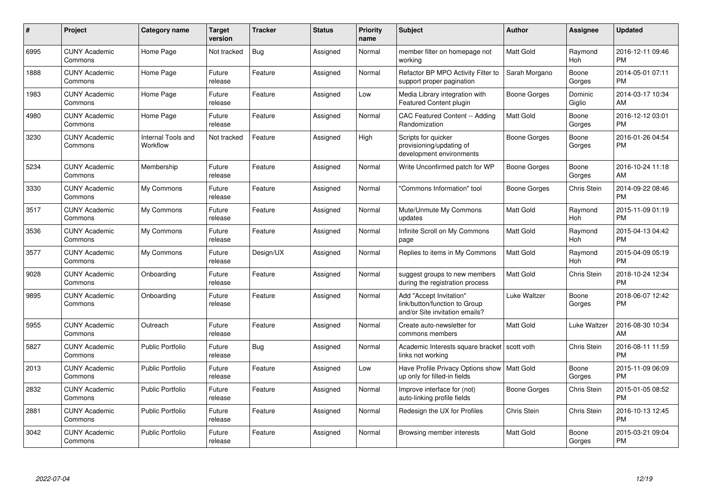| $\#$ | Project                         | <b>Category name</b>                  | Target<br>version | <b>Tracker</b> | <b>Status</b> | Priority<br>name | <b>Subject</b>                                                                             | <b>Author</b>       | <b>Assignee</b>   | <b>Updated</b>                |
|------|---------------------------------|---------------------------------------|-------------------|----------------|---------------|------------------|--------------------------------------------------------------------------------------------|---------------------|-------------------|-------------------------------|
| 6995 | <b>CUNY Academic</b><br>Commons | Home Page                             | Not tracked       | <b>Bug</b>     | Assigned      | Normal           | member filter on homepage not<br>working                                                   | <b>Matt Gold</b>    | Raymond<br>Hoh    | 2016-12-11 09:46<br><b>PM</b> |
| 1888 | <b>CUNY Academic</b><br>Commons | Home Page                             | Future<br>release | Feature        | Assigned      | Normal           | Refactor BP MPO Activity Filter to<br>support proper pagination                            | Sarah Morgano       | Boone<br>Gorges   | 2014-05-01 07:11<br><b>PM</b> |
| 1983 | <b>CUNY Academic</b><br>Commons | Home Page                             | Future<br>release | Feature        | Assigned      | Low              | Media Library integration with<br><b>Featured Content plugin</b>                           | Boone Gorges        | Dominic<br>Giglio | 2014-03-17 10:34<br>AM        |
| 4980 | <b>CUNY Academic</b><br>Commons | Home Page                             | Future<br>release | Feature        | Assigned      | Normal           | <b>CAC Featured Content -- Adding</b><br>Randomization                                     | <b>Matt Gold</b>    | Boone<br>Gorges   | 2016-12-12 03:01<br><b>PM</b> |
| 3230 | <b>CUNY Academic</b><br>Commons | <b>Internal Tools and</b><br>Workflow | Not tracked       | Feature        | Assigned      | High             | Scripts for quicker<br>provisioning/updating of<br>development environments                | Boone Gorges        | Boone<br>Gorges   | 2016-01-26 04:54<br><b>PM</b> |
| 5234 | <b>CUNY Academic</b><br>Commons | Membership                            | Future<br>release | Feature        | Assigned      | Normal           | Write Unconfirmed patch for WP                                                             | Boone Gorges        | Boone<br>Gorges   | 2016-10-24 11:18<br>AM        |
| 3330 | <b>CUNY Academic</b><br>Commons | My Commons                            | Future<br>release | Feature        | Assigned      | Normal           | "Commons Information" tool                                                                 | Boone Gorges        | Chris Stein       | 2014-09-22 08:46<br><b>PM</b> |
| 3517 | <b>CUNY Academic</b><br>Commons | My Commons                            | Future<br>release | Feature        | Assigned      | Normal           | Mute/Unmute My Commons<br>updates                                                          | <b>Matt Gold</b>    | Raymond<br>Hoh    | 2015-11-09 01:19<br><b>PM</b> |
| 3536 | <b>CUNY Academic</b><br>Commons | My Commons                            | Future<br>release | Feature        | Assigned      | Normal           | Infinite Scroll on My Commons<br>page                                                      | <b>Matt Gold</b>    | Raymond<br>Hoh    | 2015-04-13 04:42<br><b>PM</b> |
| 3577 | <b>CUNY Academic</b><br>Commons | My Commons                            | Future<br>release | Design/UX      | Assigned      | Normal           | Replies to items in My Commons                                                             | Matt Gold           | Raymond<br>Hoh    | 2015-04-09 05:19<br><b>PM</b> |
| 9028 | <b>CUNY Academic</b><br>Commons | Onboarding                            | Future<br>release | Feature        | Assigned      | Normal           | suggest groups to new members<br>during the registration process                           | Matt Gold           | Chris Stein       | 2018-10-24 12:34<br><b>PM</b> |
| 9895 | <b>CUNY Academic</b><br>Commons | Onboarding                            | Future<br>release | Feature        | Assigned      | Normal           | Add "Accept Invitation"<br>link/button/function to Group<br>and/or Site invitation emails? | Luke Waltzer        | Boone<br>Gorges   | 2018-06-07 12:42<br><b>PM</b> |
| 5955 | <b>CUNY Academic</b><br>Commons | Outreach                              | Future<br>release | Feature        | Assigned      | Normal           | Create auto-newsletter for<br>commons members                                              | Matt Gold           | Luke Waltzer      | 2016-08-30 10:34<br>AM        |
| 5827 | <b>CUNY Academic</b><br>Commons | <b>Public Portfolio</b>               | Future<br>release | Bug            | Assigned      | Normal           | Academic Interests square bracket   scott voth<br>links not working                        |                     | Chris Stein       | 2016-08-11 11:59<br><b>PM</b> |
| 2013 | <b>CUNY Academic</b><br>Commons | <b>Public Portfolio</b>               | Future<br>release | Feature        | Assigned      | Low              | Have Profile Privacy Options show<br>up only for filled-in fields                          | l Matt Gold         | Boone<br>Gorges   | 2015-11-09 06:09<br><b>PM</b> |
| 2832 | <b>CUNY Academic</b><br>Commons | <b>Public Portfolio</b>               | Future<br>release | Feature        | Assigned      | Normal           | Improve interface for (not)<br>auto-linking profile fields                                 | <b>Boone Gorges</b> | Chris Stein       | 2015-01-05 08:52<br><b>PM</b> |
| 2881 | <b>CUNY Academic</b><br>Commons | <b>Public Portfolio</b>               | Future<br>release | Feature        | Assigned      | Normal           | Redesign the UX for Profiles                                                               | Chris Stein         | Chris Stein       | 2016-10-13 12:45<br><b>PM</b> |
| 3042 | CUNY Academic<br>Commons        | <b>Public Portfolio</b>               | Future<br>release | Feature        | Assigned      | Normal           | Browsing member interests                                                                  | <b>Matt Gold</b>    | Boone<br>Gorges   | 2015-03-21 09:04<br><b>PM</b> |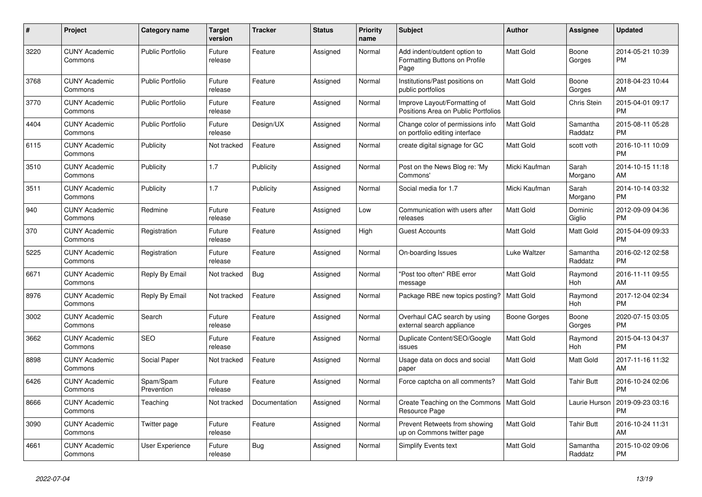| #    | <b>Project</b>                  | Category name           | <b>Target</b><br>version | <b>Tracker</b> | <b>Status</b> | Priority<br>name | <b>Subject</b>                                                        | <b>Author</b>    | <b>Assignee</b>     | <b>Updated</b>                |
|------|---------------------------------|-------------------------|--------------------------|----------------|---------------|------------------|-----------------------------------------------------------------------|------------------|---------------------|-------------------------------|
| 3220 | <b>CUNY Academic</b><br>Commons | <b>Public Portfolio</b> | Future<br>release        | Feature        | Assigned      | Normal           | Add indent/outdent option to<br>Formatting Buttons on Profile<br>Page | <b>Matt Gold</b> | Boone<br>Gorges     | 2014-05-21 10:39<br><b>PM</b> |
| 3768 | <b>CUNY Academic</b><br>Commons | <b>Public Portfolio</b> | Future<br>release        | Feature        | Assigned      | Normal           | Institutions/Past positions on<br>public portfolios                   | <b>Matt Gold</b> | Boone<br>Gorges     | 2018-04-23 10:44<br>AM        |
| 3770 | <b>CUNY Academic</b><br>Commons | <b>Public Portfolio</b> | Future<br>release        | Feature        | Assigned      | Normal           | Improve Layout/Formatting of<br>Positions Area on Public Portfolios   | <b>Matt Gold</b> | Chris Stein         | 2015-04-01 09:17<br><b>PM</b> |
| 4404 | <b>CUNY Academic</b><br>Commons | <b>Public Portfolio</b> | Future<br>release        | Design/UX      | Assigned      | Normal           | Change color of permissions info<br>on portfolio editing interface    | <b>Matt Gold</b> | Samantha<br>Raddatz | 2015-08-11 05:28<br><b>PM</b> |
| 6115 | <b>CUNY Academic</b><br>Commons | Publicity               | Not tracked              | Feature        | Assigned      | Normal           | create digital signage for GC                                         | Matt Gold        | scott voth          | 2016-10-11 10:09<br><b>PM</b> |
| 3510 | <b>CUNY Academic</b><br>Commons | Publicity               | 1.7                      | Publicity      | Assigned      | Normal           | Post on the News Blog re: 'My<br>Commons'                             | Micki Kaufman    | Sarah<br>Morgano    | 2014-10-15 11:18<br>AM        |
| 3511 | <b>CUNY Academic</b><br>Commons | Publicity               | 1.7                      | Publicity      | Assigned      | Normal           | Social media for 1.7                                                  | Micki Kaufman    | Sarah<br>Morgano    | 2014-10-14 03:32<br><b>PM</b> |
| 940  | <b>CUNY Academic</b><br>Commons | Redmine                 | Future<br>release        | Feature        | Assigned      | Low              | Communication with users after<br>releases                            | <b>Matt Gold</b> | Dominic<br>Giglio   | 2012-09-09 04:36<br><b>PM</b> |
| 370  | <b>CUNY Academic</b><br>Commons | Registration            | Future<br>release        | Feature        | Assigned      | High             | <b>Guest Accounts</b>                                                 | <b>Matt Gold</b> | Matt Gold           | 2015-04-09 09:33<br><b>PM</b> |
| 5225 | <b>CUNY Academic</b><br>Commons | Registration            | Future<br>release        | Feature        | Assigned      | Normal           | On-boarding Issues                                                    | Luke Waltzer     | Samantha<br>Raddatz | 2016-02-12 02:58<br><b>PM</b> |
| 6671 | <b>CUNY Academic</b><br>Commons | Reply By Email          | Not tracked              | Bug            | Assigned      | Normal           | "Post too often" RBE error<br>message                                 | <b>Matt Gold</b> | Raymond<br>Hoh      | 2016-11-11 09:55<br>AM        |
| 8976 | <b>CUNY Academic</b><br>Commons | Reply By Email          | Not tracked              | Feature        | Assigned      | Normal           | Package RBE new topics posting?                                       | Matt Gold        | Raymond<br>Hoh      | 2017-12-04 02:34<br><b>PM</b> |
| 3002 | <b>CUNY Academic</b><br>Commons | Search                  | Future<br>release        | Feature        | Assigned      | Normal           | Overhaul CAC search by using<br>external search appliance             | Boone Gorges     | Boone<br>Gorges     | 2020-07-15 03:05<br><b>PM</b> |
| 3662 | <b>CUNY Academic</b><br>Commons | <b>SEO</b>              | Future<br>release        | Feature        | Assigned      | Normal           | Duplicate Content/SEO/Google<br>issues                                | <b>Matt Gold</b> | Raymond<br>Hoh      | 2015-04-13 04:37<br><b>PM</b> |
| 8898 | <b>CUNY Academic</b><br>Commons | Social Paper            | Not tracked              | Feature        | Assigned      | Normal           | Usage data on docs and social<br>paper                                | <b>Matt Gold</b> | Matt Gold           | 2017-11-16 11:32<br>AM        |
| 6426 | <b>CUNY Academic</b><br>Commons | Spam/Spam<br>Prevention | Future<br>release        | Feature        | Assigned      | Normal           | Force captcha on all comments?                                        | <b>Matt Gold</b> | Tahir Butt          | 2016-10-24 02:06<br><b>PM</b> |
| 8666 | <b>CUNY Academic</b><br>Commons | Teaching                | Not tracked              | Documentation  | Assigned      | Normal           | Create Teaching on the Commons<br>Resource Page                       | Matt Gold        | Laurie Hurson       | 2019-09-23 03:16<br><b>PM</b> |
| 3090 | <b>CUNY Academic</b><br>Commons | Twitter page            | Future<br>release        | Feature        | Assigned      | Normal           | Prevent Retweets from showing<br>up on Commons twitter page           | <b>Matt Gold</b> | <b>Tahir Butt</b>   | 2016-10-24 11:31<br>AM        |
| 4661 | <b>CUNY Academic</b><br>Commons | User Experience         | Future<br>release        | Bug            | Assigned      | Normal           | Simplify Events text                                                  | Matt Gold        | Samantha<br>Raddatz | 2015-10-02 09:06<br><b>PM</b> |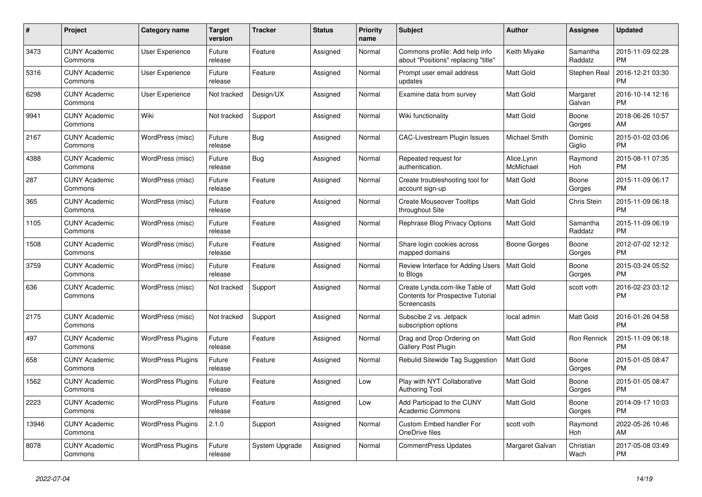| #     | <b>Project</b>                  | Category name            | <b>Target</b><br>version | <b>Tracker</b> | <b>Status</b> | Priority<br>name | <b>Subject</b>                                                                                   | <b>Author</b>           | Assignee            | <b>Updated</b>                |
|-------|---------------------------------|--------------------------|--------------------------|----------------|---------------|------------------|--------------------------------------------------------------------------------------------------|-------------------------|---------------------|-------------------------------|
| 3473  | <b>CUNY Academic</b><br>Commons | <b>User Experience</b>   | Future<br>release        | Feature        | Assigned      | Normal           | Commons profile: Add help info<br>about "Positions" replacing "title"                            | Keith Miyake            | Samantha<br>Raddatz | 2015-11-09 02:28<br><b>PM</b> |
| 5316  | <b>CUNY Academic</b><br>Commons | <b>User Experience</b>   | Future<br>release        | Feature        | Assigned      | Normal           | Prompt user email address<br>updates                                                             | Matt Gold               | Stephen Real        | 2016-12-21 03:30<br><b>PM</b> |
| 6298  | <b>CUNY Academic</b><br>Commons | User Experience          | Not tracked              | Design/UX      | Assigned      | Normal           | Examine data from survey                                                                         | Matt Gold               | Margaret<br>Galvan  | 2016-10-14 12:16<br><b>PM</b> |
| 9941  | <b>CUNY Academic</b><br>Commons | Wiki                     | Not tracked              | Support        | Assigned      | Normal           | Wiki functionality                                                                               | Matt Gold               | Boone<br>Gorges     | 2018-06-26 10:57<br>AM        |
| 2167  | <b>CUNY Academic</b><br>Commons | WordPress (misc)         | Future<br>release        | <b>Bug</b>     | Assigned      | Normal           | CAC-Livestream Plugin Issues                                                                     | Michael Smith           | Dominic<br>Giglio   | 2015-01-02 03:06<br><b>PM</b> |
| 4388  | <b>CUNY Academic</b><br>Commons | WordPress (misc)         | Future<br>release        | Bug            | Assigned      | Normal           | Repeated request for<br>authentication.                                                          | Alice.Lynn<br>McMichael | Raymond<br>Hoh      | 2015-08-11 07:35<br><b>PM</b> |
| 287   | <b>CUNY Academic</b><br>Commons | WordPress (misc)         | Future<br>release        | Feature        | Assigned      | Normal           | Create troubleshooting tool for<br>account sign-up                                               | <b>Matt Gold</b>        | Boone<br>Gorges     | 2015-11-09 06:17<br><b>PM</b> |
| 365   | <b>CUNY Academic</b><br>Commons | WordPress (misc)         | Future<br>release        | Feature        | Assigned      | Normal           | <b>Create Mouseover Tooltips</b><br>throughout Site                                              | <b>Matt Gold</b>        | Chris Stein         | 2015-11-09 06:18<br><b>PM</b> |
| 1105  | <b>CUNY Academic</b><br>Commons | WordPress (misc)         | Future<br>release        | Feature        | Assigned      | Normal           | Rephrase Blog Privacy Options                                                                    | Matt Gold               | Samantha<br>Raddatz | 2015-11-09 06:19<br><b>PM</b> |
| 1508  | <b>CUNY Academic</b><br>Commons | WordPress (misc)         | Future<br>release        | Feature        | Assigned      | Normal           | Share login cookies across<br>mapped domains                                                     | Boone Gorges            | Boone<br>Gorges     | 2012-07-02 12:12<br><b>PM</b> |
| 3759  | <b>CUNY Academic</b><br>Commons | WordPress (misc)         | Future<br>release        | Feature        | Assigned      | Normal           | Review Interface for Adding Users<br>to Blogs                                                    | <b>Matt Gold</b>        | Boone<br>Gorges     | 2015-03-24 05:52<br><b>PM</b> |
| 636   | <b>CUNY Academic</b><br>Commons | WordPress (misc)         | Not tracked              | Support        | Assigned      | Normal           | Create Lynda.com-like Table of<br><b>Contents for Prospective Tutorial</b><br><b>Screencasts</b> | Matt Gold               | scott voth          | 2016-02-23 03:12<br><b>PM</b> |
| 2175  | <b>CUNY Academic</b><br>Commons | WordPress (misc)         | Not tracked              | Support        | Assigned      | Normal           | Subscibe 2 vs. Jetpack<br>subscription options                                                   | local admin             | Matt Gold           | 2016-01-26 04:58<br><b>PM</b> |
| 497   | <b>CUNY Academic</b><br>Commons | <b>WordPress Plugins</b> | Future<br>release        | Feature        | Assigned      | Normal           | Drag and Drop Ordering on<br>Gallery Post Plugin                                                 | Matt Gold               | Ron Rennick         | 2015-11-09 06:18<br><b>PM</b> |
| 658   | <b>CUNY Academic</b><br>Commons | <b>WordPress Plugins</b> | Future<br>release        | Feature        | Assigned      | Normal           | Rebulid Sitewide Tag Suggestion                                                                  | <b>Matt Gold</b>        | Boone<br>Gorges     | 2015-01-05 08:47<br><b>PM</b> |
| 1562  | <b>CUNY Academic</b><br>Commons | <b>WordPress Plugins</b> | Future<br>release        | Feature        | Assigned      | Low              | Play with NYT Collaborative<br>Authoring Tool                                                    | <b>Matt Gold</b>        | Boone<br>Gorges     | 2015-01-05 08:47<br><b>PM</b> |
| 2223  | <b>CUNY Academic</b><br>Commons | <b>WordPress Plugins</b> | Future<br>release        | Feature        | Assigned      | Low              | Add Participad to the CUNY<br><b>Academic Commons</b>                                            | Matt Gold               | Boone<br>Gorges     | 2014-09-17 10:03<br><b>PM</b> |
| 13946 | <b>CUNY Academic</b><br>Commons | <b>WordPress Plugins</b> | 2.1.0                    | Support        | Assigned      | Normal           | Custom Embed handler For<br>OneDrive files                                                       | scott voth              | Raymond<br>Hoh      | 2022-05-26 10:46<br>AM        |
| 8078  | <b>CUNY Academic</b><br>Commons | <b>WordPress Plugins</b> | Future<br>release        | System Upgrade | Assigned      | Normal           | <b>CommentPress Updates</b>                                                                      | Margaret Galvan         | Christian<br>Wach   | 2017-05-08 03:49<br><b>PM</b> |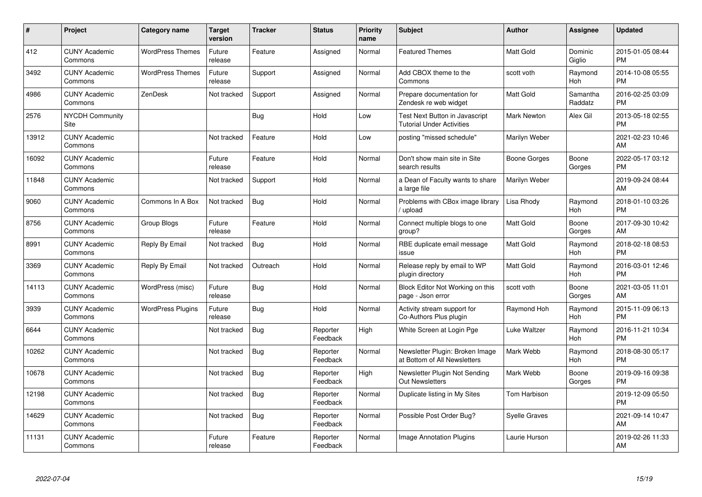| #     | <b>Project</b>                  | <b>Category name</b>     | <b>Target</b><br>version | <b>Tracker</b> | <b>Status</b>        | <b>Priority</b><br>name | <b>Subject</b>                                                     | <b>Author</b>        | Assignee            | <b>Updated</b>                |
|-------|---------------------------------|--------------------------|--------------------------|----------------|----------------------|-------------------------|--------------------------------------------------------------------|----------------------|---------------------|-------------------------------|
| 412   | <b>CUNY Academic</b><br>Commons | <b>WordPress Themes</b>  | Future<br>release        | Feature        | Assigned             | Normal                  | <b>Featured Themes</b>                                             | <b>Matt Gold</b>     | Dominic<br>Giglio   | 2015-01-05 08:44<br><b>PM</b> |
| 3492  | <b>CUNY Academic</b><br>Commons | <b>WordPress Themes</b>  | Future<br>release        | Support        | Assigned             | Normal                  | Add CBOX theme to the<br>Commons                                   | scott voth           | Raymond<br>Hoh      | 2014-10-08 05:55<br><b>PM</b> |
| 4986  | <b>CUNY Academic</b><br>Commons | ZenDesk                  | Not tracked              | Support        | Assigned             | Normal                  | Prepare documentation for<br>Zendesk re web widget                 | <b>Matt Gold</b>     | Samantha<br>Raddatz | 2016-02-25 03:09<br><b>PM</b> |
| 2576  | <b>NYCDH Community</b><br>Site  |                          |                          | Bug            | Hold                 | Low                     | Test Next Button in Javascript<br><b>Tutorial Under Activities</b> | <b>Mark Newton</b>   | Alex Gil            | 2013-05-18 02:55<br><b>PM</b> |
| 13912 | <b>CUNY Academic</b><br>Commons |                          | Not tracked              | Feature        | Hold                 | Low                     | posting "missed schedule"                                          | Marilyn Weber        |                     | 2021-02-23 10:46<br>AM        |
| 16092 | <b>CUNY Academic</b><br>Commons |                          | Future<br>release        | Feature        | Hold                 | Normal                  | Don't show main site in Site<br>search results                     | Boone Gorges         | Boone<br>Gorges     | 2022-05-17 03:12<br><b>PM</b> |
| 11848 | <b>CUNY Academic</b><br>Commons |                          | Not tracked              | Support        | Hold                 | Normal                  | a Dean of Faculty wants to share<br>a large file                   | Marilyn Weber        |                     | 2019-09-24 08:44<br>AM        |
| 9060  | <b>CUNY Academic</b><br>Commons | Commons In A Box         | Not tracked              | Bug            | Hold                 | Normal                  | Problems with CBox image library<br>upload                         | Lisa Rhody           | Raymond<br>Hoh      | 2018-01-10 03:26<br><b>PM</b> |
| 8756  | <b>CUNY Academic</b><br>Commons | Group Blogs              | Future<br>release        | Feature        | Hold                 | Normal                  | Connect multiple blogs to one<br>group?                            | <b>Matt Gold</b>     | Boone<br>Gorges     | 2017-09-30 10:42<br>AM        |
| 8991  | <b>CUNY Academic</b><br>Commons | Reply By Email           | Not tracked              | <b>Bug</b>     | Hold                 | Normal                  | RBE duplicate email message<br>issue                               | Matt Gold            | Raymond<br>Hoh      | 2018-02-18 08:53<br><b>PM</b> |
| 3369  | <b>CUNY Academic</b><br>Commons | Reply By Email           | Not tracked              | Outreach       | Hold                 | Normal                  | Release reply by email to WP<br>plugin directory                   | <b>Matt Gold</b>     | Raymond<br>Hoh      | 2016-03-01 12:46<br><b>PM</b> |
| 14113 | <b>CUNY Academic</b><br>Commons | WordPress (misc)         | Future<br>release        | Bug            | Hold                 | Normal                  | Block Editor Not Working on this<br>page - Json error              | scott voth           | Boone<br>Gorges     | 2021-03-05 11:01<br>AM        |
| 3939  | <b>CUNY Academic</b><br>Commons | <b>WordPress Plugins</b> | Future<br>release        | Bug            | Hold                 | Normal                  | Activity stream support for<br>Co-Authors Plus plugin              | Raymond Hoh          | Raymond<br>Hoh      | 2015-11-09 06:13<br><b>PM</b> |
| 6644  | <b>CUNY Academic</b><br>Commons |                          | Not tracked              | Bug            | Reporter<br>Feedback | High                    | White Screen at Login Pge                                          | Luke Waltzer         | Raymond<br>Hoh      | 2016-11-21 10:34<br><b>PM</b> |
| 10262 | <b>CUNY Academic</b><br>Commons |                          | Not tracked              | Bug            | Reporter<br>Feedback | Normal                  | Newsletter Plugin: Broken Image<br>at Bottom of All Newsletters    | Mark Webb            | Raymond<br>Hoh      | 2018-08-30 05:17<br><b>PM</b> |
| 10678 | <b>CUNY Academic</b><br>Commons |                          | Not tracked              | <b>Bug</b>     | Reporter<br>Feedback | High                    | Newsletter Plugin Not Sending<br><b>Out Newsletters</b>            | Mark Webb            | Boone<br>Gorges     | 2019-09-16 09:38<br><b>PM</b> |
| 12198 | <b>CUNY Academic</b><br>Commons |                          | Not tracked              | <b>Bug</b>     | Reporter<br>Feedback | Normal                  | Duplicate listing in My Sites                                      | Tom Harbison         |                     | 2019-12-09 05:50<br><b>PM</b> |
| 14629 | <b>CUNY Academic</b><br>Commons |                          | Not tracked              | Bug            | Reporter<br>Feedback | Normal                  | Possible Post Order Bug?                                           | <b>Syelle Graves</b> |                     | 2021-09-14 10:47<br>AM        |
| 11131 | <b>CUNY Academic</b><br>Commons |                          | Future<br>release        | Feature        | Reporter<br>Feedback | Normal                  | Image Annotation Plugins                                           | Laurie Hurson        |                     | 2019-02-26 11:33<br>AM        |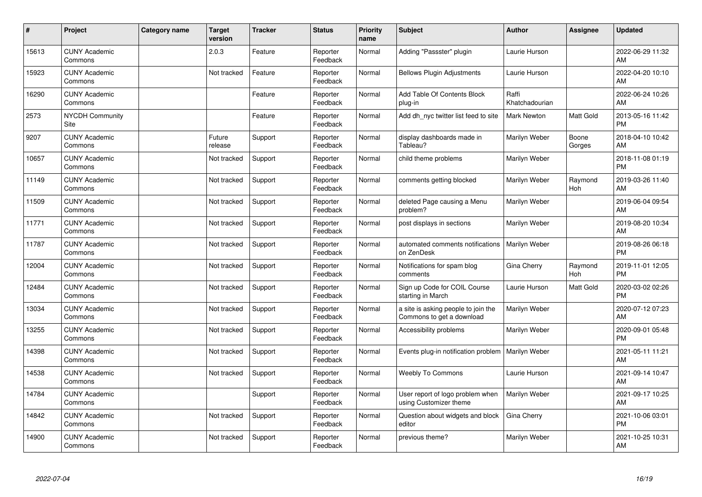| #     | Project                               | <b>Category name</b> | <b>Target</b><br>version | <b>Tracker</b> | <b>Status</b>        | <b>Priority</b><br>name | <b>Subject</b>                                                   | <b>Author</b>           | <b>Assignee</b> | <b>Updated</b>                |
|-------|---------------------------------------|----------------------|--------------------------|----------------|----------------------|-------------------------|------------------------------------------------------------------|-------------------------|-----------------|-------------------------------|
| 15613 | <b>CUNY Academic</b><br>Commons       |                      | 2.0.3                    | Feature        | Reporter<br>Feedback | Normal                  | Adding "Passster" plugin                                         | Laurie Hurson           |                 | 2022-06-29 11:32<br>AM        |
| 15923 | <b>CUNY Academic</b><br>Commons       |                      | Not tracked              | Feature        | Reporter<br>Feedback | Normal                  | <b>Bellows Plugin Adjustments</b>                                | Laurie Hurson           |                 | 2022-04-20 10:10<br>AM        |
| 16290 | <b>CUNY Academic</b><br>Commons       |                      |                          | Feature        | Reporter<br>Feedback | Normal                  | Add Table Of Contents Block<br>plug-in                           | Raffi<br>Khatchadourian |                 | 2022-06-24 10:26<br>AM        |
| 2573  | <b>NYCDH Community</b><br><b>Site</b> |                      |                          | Feature        | Reporter<br>Feedback | Normal                  | Add dh nyc twitter list feed to site                             | <b>Mark Newton</b>      | Matt Gold       | 2013-05-16 11:42<br><b>PM</b> |
| 9207  | <b>CUNY Academic</b><br>Commons       |                      | Future<br>release        | Support        | Reporter<br>Feedback | Normal                  | display dashboards made in<br>Tableau?                           | Marilyn Weber           | Boone<br>Gorges | 2018-04-10 10:42<br>AM        |
| 10657 | <b>CUNY Academic</b><br>Commons       |                      | Not tracked              | Support        | Reporter<br>Feedback | Normal                  | child theme problems                                             | Marilyn Weber           |                 | 2018-11-08 01:19<br><b>PM</b> |
| 11149 | <b>CUNY Academic</b><br>Commons       |                      | Not tracked              | Support        | Reporter<br>Feedback | Normal                  | comments getting blocked                                         | Marilyn Weber           | Raymond<br>Hoh  | 2019-03-26 11:40<br>AM        |
| 11509 | <b>CUNY Academic</b><br>Commons       |                      | Not tracked              | Support        | Reporter<br>Feedback | Normal                  | deleted Page causing a Menu<br>problem?                          | Marilyn Weber           |                 | 2019-06-04 09:54<br>AM        |
| 11771 | <b>CUNY Academic</b><br>Commons       |                      | Not tracked              | Support        | Reporter<br>Feedback | Normal                  | post displays in sections                                        | Marilyn Weber           |                 | 2019-08-20 10:34<br>AM        |
| 11787 | <b>CUNY Academic</b><br>Commons       |                      | Not tracked              | Support        | Reporter<br>Feedback | Normal                  | automated comments notifications<br>on ZenDesk                   | Marilyn Weber           |                 | 2019-08-26 06:18<br><b>PM</b> |
| 12004 | <b>CUNY Academic</b><br>Commons       |                      | Not tracked              | Support        | Reporter<br>Feedback | Normal                  | Notifications for spam blog<br>comments                          | Gina Cherry             | Raymond<br>Hoh  | 2019-11-01 12:05<br><b>PM</b> |
| 12484 | <b>CUNY Academic</b><br>Commons       |                      | Not tracked              | Support        | Reporter<br>Feedback | Normal                  | Sign up Code for COIL Course<br>starting in March                | Laurie Hurson           | Matt Gold       | 2020-03-02 02:26<br><b>PM</b> |
| 13034 | <b>CUNY Academic</b><br>Commons       |                      | Not tracked              | Support        | Reporter<br>Feedback | Normal                  | a site is asking people to join the<br>Commons to get a download | Marilyn Weber           |                 | 2020-07-12 07:23<br>AM        |
| 13255 | <b>CUNY Academic</b><br>Commons       |                      | Not tracked              | Support        | Reporter<br>Feedback | Normal                  | Accessibility problems                                           | Marilyn Weber           |                 | 2020-09-01 05:48<br><b>PM</b> |
| 14398 | <b>CUNY Academic</b><br>Commons       |                      | Not tracked              | Support        | Reporter<br>Feedback | Normal                  | Events plug-in notification problem                              | Marilyn Weber           |                 | 2021-05-11 11:21<br>AM        |
| 14538 | <b>CUNY Academic</b><br>Commons       |                      | Not tracked              | Support        | Reporter<br>Feedback | Normal                  | <b>Weebly To Commons</b>                                         | Laurie Hurson           |                 | 2021-09-14 10:47<br>AM        |
| 14784 | <b>CUNY Academic</b><br>Commons       |                      |                          | Support        | Reporter<br>Feedback | Normal                  | User report of logo problem when<br>using Customizer theme       | Marilyn Weber           |                 | 2021-09-17 10:25<br>AM        |
| 14842 | <b>CUNY Academic</b><br>Commons       |                      | Not tracked              | Support        | Reporter<br>Feedback | Normal                  | Question about widgets and block<br>editor                       | Gina Cherry             |                 | 2021-10-06 03:01<br><b>PM</b> |
| 14900 | <b>CUNY Academic</b><br>Commons       |                      | Not tracked              | Support        | Reporter<br>Feedback | Normal                  | previous theme?                                                  | Marilyn Weber           |                 | 2021-10-25 10:31<br>AM        |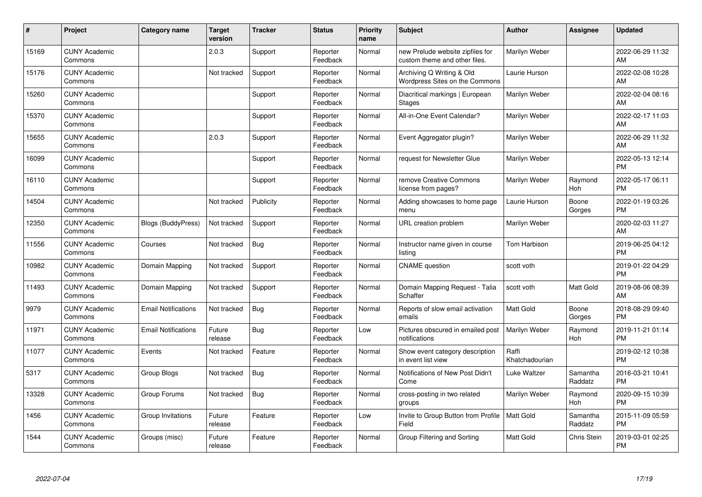| #     | Project                         | <b>Category name</b>       | <b>Target</b><br>version | <b>Tracker</b> | <b>Status</b>        | <b>Priority</b><br>name | <b>Subject</b>                                                    | <b>Author</b>           | Assignee            | <b>Updated</b>                |
|-------|---------------------------------|----------------------------|--------------------------|----------------|----------------------|-------------------------|-------------------------------------------------------------------|-------------------------|---------------------|-------------------------------|
| 15169 | <b>CUNY Academic</b><br>Commons |                            | 2.0.3                    | Support        | Reporter<br>Feedback | Normal                  | new Prelude website zipfiles for<br>custom theme and other files. | Marilyn Weber           |                     | 2022-06-29 11:32<br>AM        |
| 15176 | <b>CUNY Academic</b><br>Commons |                            | Not tracked              | Support        | Reporter<br>Feedback | Normal                  | Archiving Q Writing & Old<br>Wordpress Sites on the Commons       | Laurie Hurson           |                     | 2022-02-08 10:28<br>AM        |
| 15260 | <b>CUNY Academic</b><br>Commons |                            |                          | Support        | Reporter<br>Feedback | Normal                  | Diacritical markings   European<br><b>Stages</b>                  | Marilyn Weber           |                     | 2022-02-04 08:16<br>AM        |
| 15370 | <b>CUNY Academic</b><br>Commons |                            |                          | Support        | Reporter<br>Feedback | Normal                  | All-in-One Event Calendar?                                        | Marilyn Weber           |                     | 2022-02-17 11:03<br>AM        |
| 15655 | <b>CUNY Academic</b><br>Commons |                            | 2.0.3                    | Support        | Reporter<br>Feedback | Normal                  | Event Aggregator plugin?                                          | Marilyn Weber           |                     | 2022-06-29 11:32<br>AM        |
| 16099 | <b>CUNY Academic</b><br>Commons |                            |                          | Support        | Reporter<br>Feedback | Normal                  | request for Newsletter Glue                                       | Marilyn Weber           |                     | 2022-05-13 12:14<br><b>PM</b> |
| 16110 | <b>CUNY Academic</b><br>Commons |                            |                          | Support        | Reporter<br>Feedback | Normal                  | remove Creative Commons<br>license from pages?                    | Marilyn Weber           | Raymond<br>Hoh      | 2022-05-17 06:11<br><b>PM</b> |
| 14504 | <b>CUNY Academic</b><br>Commons |                            | Not tracked              | Publicity      | Reporter<br>Feedback | Normal                  | Adding showcases to home page<br>menu                             | Laurie Hurson           | Boone<br>Gorges     | 2022-01-19 03:26<br><b>PM</b> |
| 12350 | <b>CUNY Academic</b><br>Commons | <b>Blogs (BuddyPress)</b>  | Not tracked              | Support        | Reporter<br>Feedback | Normal                  | URL creation problem                                              | Marilyn Weber           |                     | 2020-02-03 11:27<br>AM        |
| 11556 | <b>CUNY Academic</b><br>Commons | Courses                    | Not tracked              | <b>Bug</b>     | Reporter<br>Feedback | Normal                  | Instructor name given in course<br>listing                        | Tom Harbison            |                     | 2019-06-25 04:12<br><b>PM</b> |
| 10982 | <b>CUNY Academic</b><br>Commons | Domain Mapping             | Not tracked              | Support        | Reporter<br>Feedback | Normal                  | <b>CNAME</b> question                                             | scott voth              |                     | 2019-01-22 04:29<br><b>PM</b> |
| 11493 | <b>CUNY Academic</b><br>Commons | Domain Mapping             | Not tracked              | Support        | Reporter<br>Feedback | Normal                  | Domain Mapping Request - Talia<br>Schaffer                        | scott voth              | Matt Gold           | 2019-08-06 08:39<br>AM        |
| 9979  | <b>CUNY Academic</b><br>Commons | <b>Email Notifications</b> | Not tracked              | Bug            | Reporter<br>Feedback | Normal                  | Reports of slow email activation<br>emails                        | <b>Matt Gold</b>        | Boone<br>Gorges     | 2018-08-29 09:40<br><b>PM</b> |
| 11971 | <b>CUNY Academic</b><br>Commons | <b>Email Notifications</b> | Future<br>release        | Bug            | Reporter<br>Feedback | Low                     | Pictures obscured in emailed post<br>notifications                | Marilyn Weber           | Raymond<br>Hoh      | 2019-11-21 01:14<br><b>PM</b> |
| 11077 | <b>CUNY Academic</b><br>Commons | Events                     | Not tracked              | Feature        | Reporter<br>Feedback | Normal                  | Show event category description<br>in event list view             | Raffi<br>Khatchadourian |                     | 2019-02-12 10:38<br><b>PM</b> |
| 5317  | <b>CUNY Academic</b><br>Commons | Group Blogs                | Not tracked              | <b>Bug</b>     | Reporter<br>Feedback | Normal                  | Notifications of New Post Didn't<br>Come                          | Luke Waltzer            | Samantha<br>Raddatz | 2016-03-21 10:41<br><b>PM</b> |
| 13328 | <b>CUNY Academic</b><br>Commons | Group Forums               | Not tracked              | Bug            | Reporter<br>Feedback | Normal                  | cross-posting in two related<br>groups                            | Marilyn Weber           | Raymond<br>Hoh      | 2020-09-15 10:39<br><b>PM</b> |
| 1456  | <b>CUNY Academic</b><br>Commons | Group Invitations          | Future<br>release        | Feature        | Reporter<br>Feedback | Low                     | Invite to Group Button from Profile<br>Field                      | <b>Matt Gold</b>        | Samantha<br>Raddatz | 2015-11-09 05:59<br><b>PM</b> |
| 1544  | <b>CUNY Academic</b><br>Commons | Groups (misc)              | Future<br>release        | Feature        | Reporter<br>Feedback | Normal                  | Group Filtering and Sorting                                       | <b>Matt Gold</b>        | Chris Stein         | 2019-03-01 02:25<br><b>PM</b> |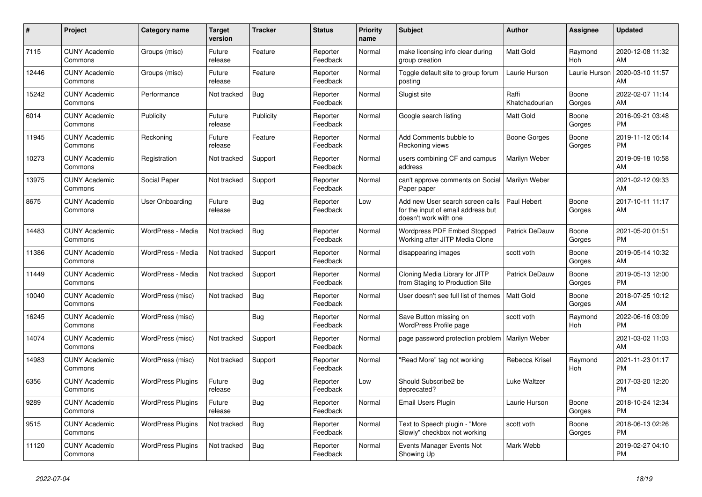| #     | Project                         | <b>Category name</b>     | Target<br>version | <b>Tracker</b> | <b>Status</b>        | Priority<br>name | <b>Subject</b>                                                                                  | <b>Author</b>           | <b>Assignee</b> | <b>Updated</b>                |
|-------|---------------------------------|--------------------------|-------------------|----------------|----------------------|------------------|-------------------------------------------------------------------------------------------------|-------------------------|-----------------|-------------------------------|
| 7115  | <b>CUNY Academic</b><br>Commons | Groups (misc)            | Future<br>release | Feature        | Reporter<br>Feedback | Normal           | make licensing info clear during<br>group creation                                              | <b>Matt Gold</b>        | Raymond<br>Hoh  | 2020-12-08 11:32<br>AM.       |
| 12446 | <b>CUNY Academic</b><br>Commons | Groups (misc)            | Future<br>release | Feature        | Reporter<br>Feedback | Normal           | Toggle default site to group forum<br>posting                                                   | Laurie Hurson           | Laurie Hurson   | 2020-03-10 11:57<br>AM        |
| 15242 | <b>CUNY Academic</b><br>Commons | Performance              | Not tracked       | <b>Bug</b>     | Reporter<br>Feedback | Normal           | Slugist site                                                                                    | Raffi<br>Khatchadourian | Boone<br>Gorges | 2022-02-07 11:14<br><b>AM</b> |
| 6014  | <b>CUNY Academic</b><br>Commons | Publicity                | Future<br>release | Publicity      | Reporter<br>Feedback | Normal           | Google search listing                                                                           | Matt Gold               | Boone<br>Gorges | 2016-09-21 03:48<br><b>PM</b> |
| 11945 | <b>CUNY Academic</b><br>Commons | Reckoning                | Future<br>release | Feature        | Reporter<br>Feedback | Normal           | Add Comments bubble to<br>Reckoning views                                                       | Boone Gorges            | Boone<br>Gorges | 2019-11-12 05:14<br><b>PM</b> |
| 10273 | <b>CUNY Academic</b><br>Commons | Registration             | Not tracked       | Support        | Reporter<br>Feedback | Normal           | users combining CF and campus<br>address                                                        | Marilyn Weber           |                 | 2019-09-18 10:58<br>AM        |
| 13975 | <b>CUNY Academic</b><br>Commons | Social Paper             | Not tracked       | Support        | Reporter<br>Feedback | Normal           | can't approve comments on Social<br>Paper paper                                                 | Marilyn Weber           |                 | 2021-02-12 09:33<br>AM        |
| 8675  | <b>CUNY Academic</b><br>Commons | User Onboarding          | Future<br>release | Bug            | Reporter<br>Feedback | Low              | Add new User search screen calls<br>for the input of email address but<br>doesn't work with one | Paul Hebert             | Boone<br>Gorges | 2017-10-11 11:17<br>AM        |
| 14483 | <b>CUNY Academic</b><br>Commons | WordPress - Media        | Not tracked       | Bug            | Reporter<br>Feedback | Normal           | Wordpress PDF Embed Stopped<br>Working after JITP Media Clone                                   | Patrick DeDauw          | Boone<br>Gorges | 2021-05-20 01:51<br><b>PM</b> |
| 11386 | <b>CUNY Academic</b><br>Commons | WordPress - Media        | Not tracked       | Support        | Reporter<br>Feedback | Normal           | disappearing images                                                                             | scott voth              | Boone<br>Gorges | 2019-05-14 10:32<br>AM.       |
| 11449 | <b>CUNY Academic</b><br>Commons | WordPress - Media        | Not tracked       | Support        | Reporter<br>Feedback | Normal           | Cloning Media Library for JITP<br>from Staging to Production Site                               | Patrick DeDauw          | Boone<br>Gorges | 2019-05-13 12:00<br><b>PM</b> |
| 10040 | <b>CUNY Academic</b><br>Commons | WordPress (misc)         | Not tracked       | Bug            | Reporter<br>Feedback | Normal           | User doesn't see full list of themes                                                            | <b>Matt Gold</b>        | Boone<br>Gorges | 2018-07-25 10:12<br>AM        |
| 16245 | <b>CUNY Academic</b><br>Commons | WordPress (misc)         |                   | Bug            | Reporter<br>Feedback | Normal           | Save Button missing on<br>WordPress Profile page                                                | scott voth              | Raymond<br>Hoh  | 2022-06-16 03:09<br><b>PM</b> |
| 14074 | <b>CUNY Academic</b><br>Commons | WordPress (misc)         | Not tracked       | Support        | Reporter<br>Feedback | Normal           | page password protection problem                                                                | Marilyn Weber           |                 | 2021-03-02 11:03<br><b>AM</b> |
| 14983 | <b>CUNY Academic</b><br>Commons | WordPress (misc)         | Not tracked       | Support        | Reporter<br>Feedback | Normal           | "Read More" tag not working                                                                     | Rebecca Krisel          | Raymond<br>Hoh  | 2021-11-23 01:17<br><b>PM</b> |
| 6356  | <b>CUNY Academic</b><br>Commons | <b>WordPress Plugins</b> | Future<br>release | Bug            | Reporter<br>Feedback | Low              | Should Subscribe2 be<br>deprecated?                                                             | Luke Waltzer            |                 | 2017-03-20 12:20<br><b>PM</b> |
| 9289  | <b>CUNY Academic</b><br>Commons | <b>WordPress Plugins</b> | Future<br>release | Bug            | Reporter<br>Feedback | Normal           | Email Users Plugin                                                                              | Laurie Hurson           | Boone<br>Gorges | 2018-10-24 12:34<br><b>PM</b> |
| 9515  | <b>CUNY Academic</b><br>Commons | <b>WordPress Plugins</b> | Not tracked       | Bug            | Reporter<br>Feedback | Normal           | Text to Speech plugin - "More<br>Slowly" checkbox not working                                   | scott voth              | Boone<br>Gorges | 2018-06-13 02:26<br><b>PM</b> |
| 11120 | <b>CUNY Academic</b><br>Commons | <b>WordPress Plugins</b> | Not tracked       | Bug            | Reporter<br>Feedback | Normal           | Events Manager Events Not<br>Showing Up                                                         | Mark Webb               |                 | 2019-02-27 04:10<br><b>PM</b> |